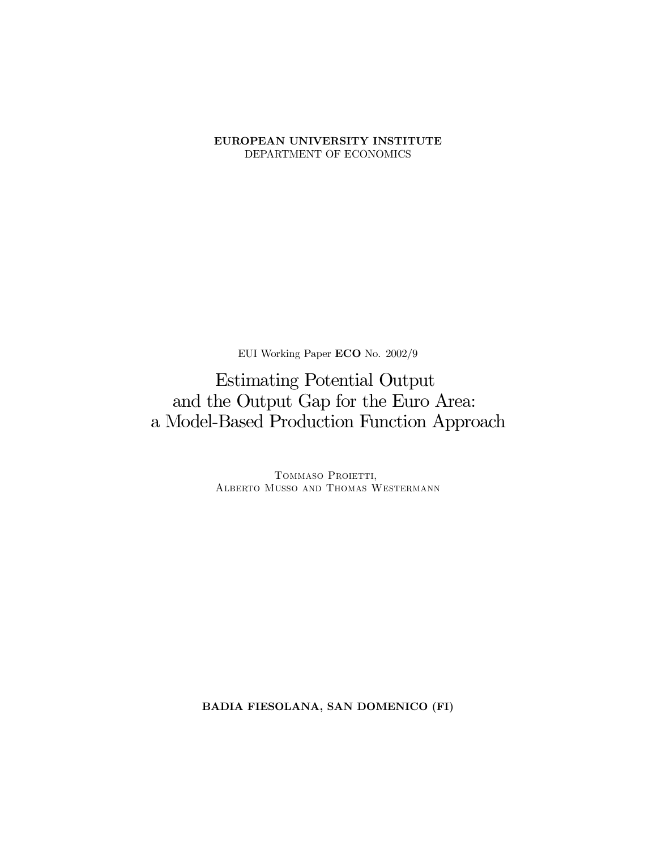#### EUROPEAN UNIVERSITY INSTITUTE DEPARTMENT OF ECONOMICS

EUI Working Paper ECO No. 2002/9

**Estimating Potential Output** and the Output Gap for the Euro Area: a Model-Based Production Function Approach

> TOMMASO PROIETTI, ALBERTO MUSSO AND THOMAS WESTERMANN

BADIA FIESOLANA, SAN DOMENICO (FI)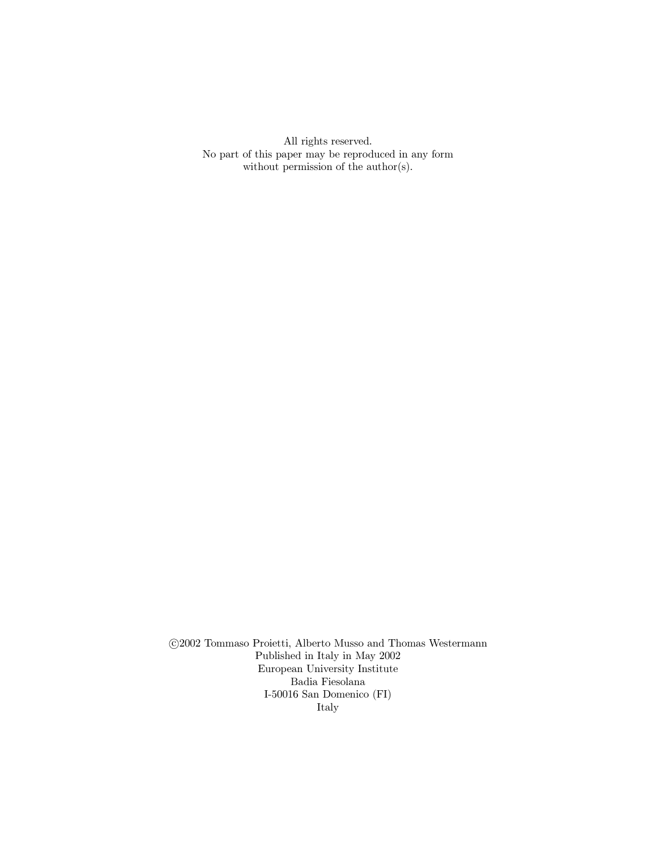All rights reserved. No part of this paper may be reproduced in any form without permission of the  $\text{author}(s)$ .

©2002 Tommaso Proietti, Alberto Musso and Thomas Westermann Published in Italy in May 2002 European University Institute Badia Fiesolana I-50016 San Domenico $(\mathrm{FI})$ Italy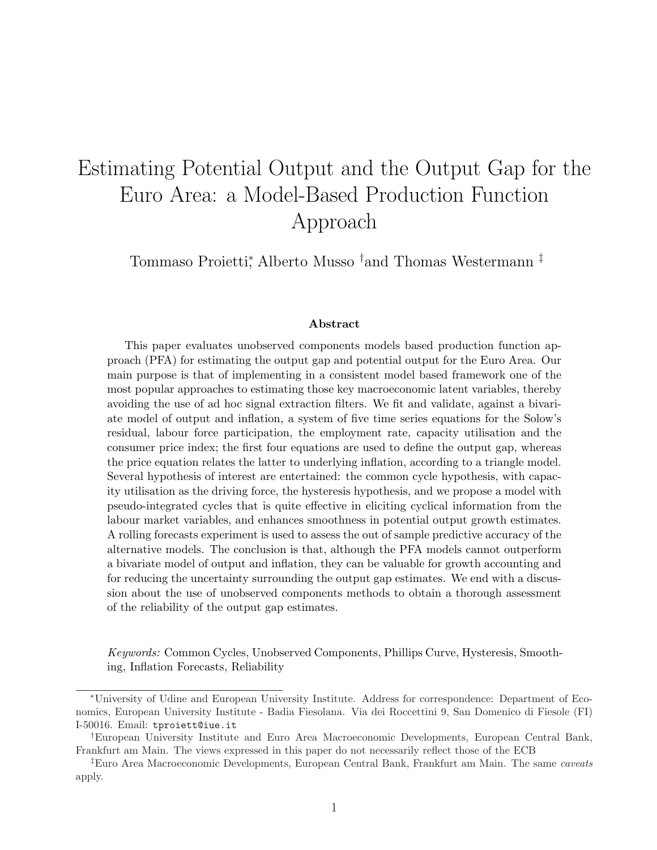# Estimating Potential Output and the Output Gap for the Euro Area: a Model-Based Production Function Approach

Tommaso Proietti\*, Alberto Musso <sup>†</sup>and Thomas Westermann <sup>‡</sup>

#### Abstract

This paper evaluates unobserved components models based production function approach (PFA) for estimating the output gap and potential output for the Euro Area. Our main purpose is that of implementing in a consistent model based framework one of the most popular approaches to estimating those key macroeconomic latent variables, thereby avoiding the use of ad hoc signal extraction filters. We fit and validate, against a bivariate model of output and inflation, a system of five time series equations for the Solow's residual, labour force participation, the employment rate, capacity utilisation and the consumer price index; the first four equations are used to define the output gap, whereas the price equation relates the latter to underlying inflation, according to a triangle model. Several hypothesis of interest are entertained: the common cycle hypothesis, with capacity utilisation as the driving force, the hysteresis hypothesis, and we propose a model with pseudo-integrated cycles that is quite effective in eliciting cyclical information from the labour market variables, and enhances smoothness in potential output growth estimates. A rolling forecasts experiment is used to assess the out of sample predictive accuracy of the alternative models. The conclusion is that, although the PFA models cannot outperform a bivariate model of output and inflation, they can be valuable for growth accounting and for reducing the uncertainty surrounding the output gap estimates. We end with a discussion about the use of unobserved components methods to obtain a thorough assessment of the reliability of the output gap estimates.

Keywords: Common Cycles, Unobserved Components, Phillips Curve, Hysteresis, Smoothing, Inflation Forecasts, Reliability

<sup>∗</sup>University of Udine and European University Institute. Address for correspondence: Department of Economics, European University Institute - Badia Fiesolana. Via dei Roccettini 9, San Domenico di Fiesole (FI) I-50016. Email: tproiett@iue.it

<sup>†</sup>European University Institute and Euro Area Macroeconomic Developments, European Central Bank, Frankfurt am Main. The views expressed in this paper do not necessarily reflect those of the ECB

<sup>‡</sup>Euro Area Macroeconomic Developments, European Central Bank, Frankfurt am Main. The same caveats apply.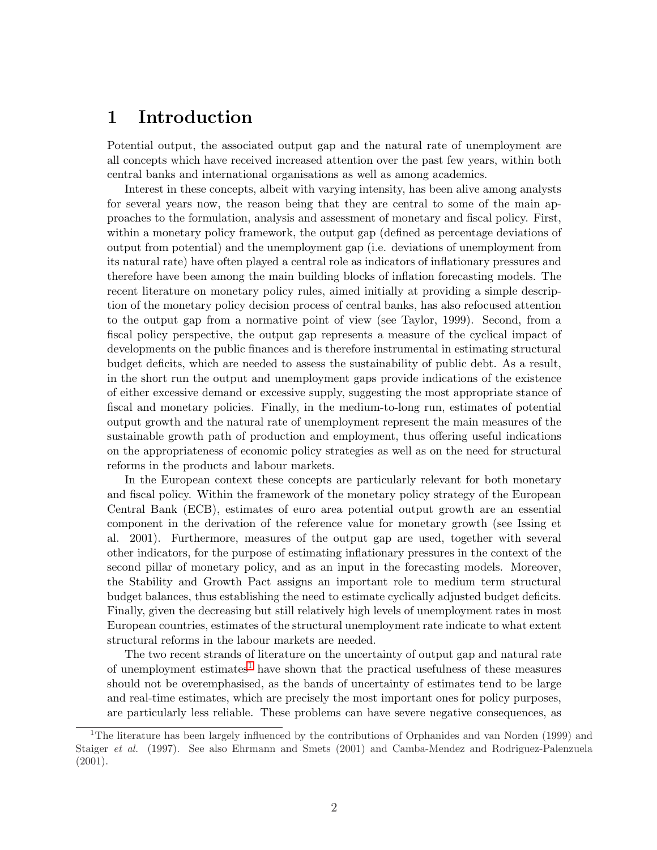### 1 Introduction

Potential output, the associated output gap and the natural rate of unemployment are all concepts which have received increased attention over the past few years, within both central banks and international organisations as well as among academics.

Interest in these concepts, albeit with varying intensity, has been alive among analysts for several years now, the reason being that they are central to some of the main approaches to the formulation, analysis and assessment of monetary and fiscal policy. First, within a monetary policy framework, the output gap (defined as percentage deviations of output from potential) and the unemployment gap (i.e. deviations of unemployment from its natural rate) have often played a central role as indicators of inflationary pressures and therefore have been among the main building blocks of inflation forecasting models. The recent literature on monetary policy rules, aimed initially at providing a simple description of the monetary policy decision process of central banks, has also refocused attention to the output gap from a normative point of view (see Taylor, 1999). Second, from a fiscal policy perspective, the output gap represents a measure of the cyclical impact of developments on the public finances and is therefore instrumental in estimating structural budget deficits, which are needed to assess the sustainability of public debt. As a result, in the short run the output and unemployment gaps provide indications of the existence of either excessive demand or excessive supply, suggesting the most appropriate stance of fiscal and monetary policies. Finally, in the medium-to-long run, estimates of potential output growth and the natural rate of unemployment represent the main measures of the sustainable growth path of production and employment, thus offering useful indications on the appropriateness of economic policy strategies as well as on the need for structural reforms in the products and labour markets.

In the European context these concepts are particularly relevant for both monetary and fiscal policy. Within the framework of the monetary policy strategy of the European Central Bank (ECB), estimates of euro area potential output growth are an essential component in the derivation of the reference value for monetary growth (see Issing et al. 2001). Furthermore, measures of the output gap are used, together with several other indicators, for the purpose of estimating inflationary pressures in the context of the second pillar of monetary policy, and as an input in the forecasting models. Moreover, the Stability and Growth Pact assigns an important role to medium term structural budget balances, thus establishing the need to estimate cyclically adjusted budget deficits. Finally, given the decreasing but still relatively high levels of unemployment rates in most European countries, estimates of the structural unemployment rate indicate to what extent structural reforms in the labour markets are needed.

The two recent strands of literature on the uncertainty of output gap and natural rate of unemployment estimates<sup>1</sup> have shown that the practical usefulness of these measures should not be overemphasised, as the bands of uncertainty of estimates tend to be large and real-time estimates, which are precisely the most important ones for policy purposes, are particularly less reliable. These problems can have severe negative consequences, as

<sup>&</sup>lt;sup>1</sup>The literature has been largely influenced by the contributions of Orphanides and van Norden (1999) and Staiger et al. (1997). See also Ehrmann and Smets (2001) and Camba-Mendez and Rodriguez-Palenzuela (2001).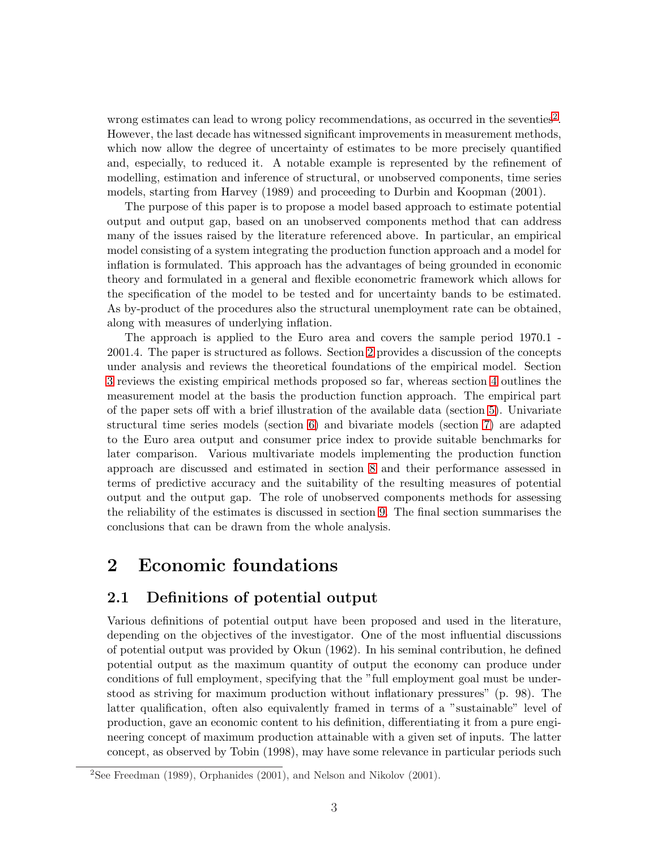<span id="page-4-0"></span>wrong estimates can lead to wrong policy recommendations, as occurred in the seventies<sup>2</sup>. However, the last decade has witnessed significant improvements in measurement methods, which now allow the degree of uncertainty of estimates to be more precisely quantified and, especially, to reduced it. A notable example is represented by the refinement of modelling, estimation and inference of structural, or unobserved components, time series models, starting from Harvey (1989) and proceeding to Durbin and Koopman (2001).

The purpose of this paper is to propose a model based approach to estimate potential output and output gap, based on an unobserved components method that can address many of the issues raised by the literature referenced above. In particular, an empirical model consisting of a system integrating the production function approach and a model for inflation is formulated. This approach has the advantages of being grounded in economic theory and formulated in a general and flexible econometric framework which allows for the specification of the model to be tested and for uncertainty bands to be estimated. As by-product of the procedures also the structural unemployment rate can be obtained, along with measures of underlying inflation.

The approach is applied to the Euro area and covers the sample period 1970.1 - 2001.4. The paper is structured as follows. Section 2 provides a discussion of the concepts under analysis and reviews the theoretical foundations of the empirical model. Section [3](#page-7-0) reviews the existing empirical methods proposed so far, whereas section [4](#page-8-0) outlines the measurement model at the basis the production function approach. The empirical part of the paper sets off with a brief illustration of the available data (section [5\)](#page-10-0). Univariate structural time series models (section [6\)](#page-12-0) and bivariate models (section [7\)](#page-14-0) are adapted to the Euro area output and consumer price index to provide suitable benchmarks for later comparison. Various multivariate models implementing the production function approach are discussed and estimated in section [8](#page-17-0) and their performance assessed in terms of predictive accuracy and the suitability of the resulting measures of potential output and the output gap. The role of unobserved components methods for assessing the reliability of the estimates is discussed in section [9.](#page-25-0) The final section summarises the conclusions that can be drawn from the whole analysis.

### 2 Economic foundations

#### 2.1 Definitions of potential output

Various definitions of potential output have been proposed and used in the literature, depending on the objectives of the investigator. One of the most influential discussions of potential output was provided by Okun (1962). In his seminal contribution, he defined potential output as the maximum quantity of output the economy can produce under conditions of full employment, specifying that the "full employment goal must be understood as striving for maximum production without inflationary pressures" (p. 98). The latter qualification, often also equivalently framed in terms of a "sustainable" level of production, gave an economic content to his definition, differentiating it from a pure engineering concept of maximum production attainable with a given set of inputs. The latter concept, as observed by Tobin (1998), may have some relevance in particular periods such

<sup>2</sup>See Freedman (1989), Orphanides (2001), and Nelson and Nikolov (2001).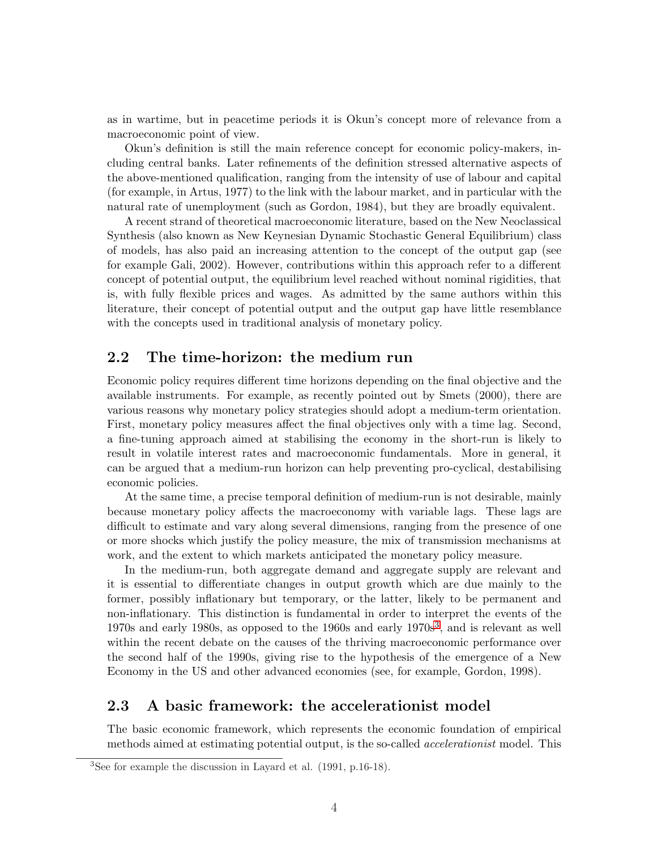as in wartime, but in peacetime periods it is Okun's concept more of relevance from a macroeconomic point of view.

Okun's definition is still the main reference concept for economic policy-makers, including central banks. Later refinements of the definition stressed alternative aspects of the above-mentioned qualification, ranging from the intensity of use of labour and capital (for example, in Artus, 1977) to the link with the labour market, and in particular with the natural rate of unemployment (such as Gordon, 1984), but they are broadly equivalent.

A recent strand of theoretical macroeconomic literature, based on the New Neoclassical Synthesis (also known as New Keynesian Dynamic Stochastic General Equilibrium) class of models, has also paid an increasing attention to the concept of the output gap (see for example Gali, 2002). However, contributions within this approach refer to a different concept of potential output, the equilibrium level reached without nominal rigidities, that is, with fully flexible prices and wages. As admitted by the same authors within this literature, their concept of potential output and the output gap have little resemblance with the concepts used in traditional analysis of monetary policy.

#### 2.2 The time-horizon: the medium run

Economic policy requires different time horizons depending on the final objective and the available instruments. For example, as recently pointed out by Smets (2000), there are various reasons why monetary policy strategies should adopt a medium-term orientation. First, monetary policy measures affect the final objectives only with a time lag. Second, a fine-tuning approach aimed at stabilising the economy in the short-run is likely to result in volatile interest rates and macroeconomic fundamentals. More in general, it can be argued that a medium-run horizon can help preventing pro-cyclical, destabilising economic policies.

At the same time, a precise temporal definition of medium-run is not desirable, mainly because monetary policy affects the macroeconomy with variable lags. These lags are difficult to estimate and vary along several dimensions, ranging from the presence of one or more shocks which justify the policy measure, the mix of transmission mechanisms at work, and the extent to which markets anticipated the monetary policy measure.

In the medium-run, both aggregate demand and aggregate supply are relevant and it is essential to differentiate changes in output growth which are due mainly to the former, possibly inflationary but temporary, or the latter, likely to be permanent and non-inflationary. This distinction is fundamental in order to interpret the events of the  $1970s$  and early 1980s, as opposed to the 1960s and early  $1970s<sup>3</sup>$ , and is relevant as well within the recent debate on the causes of the thriving macroeconomic performance over the second half of the 1990s, giving rise to the hypothesis of the emergence of a New Economy in the US and other advanced economies (see, for example, Gordon, 1998).

#### 2.3 A basic framework: the accelerationist model

The basic economic framework, which represents the economic foundation of empirical methods aimed at estimating potential output, is the so-called *accelerationist* model. This

<sup>3</sup>See for example the discussion in Layard et al. (1991, p.16-18).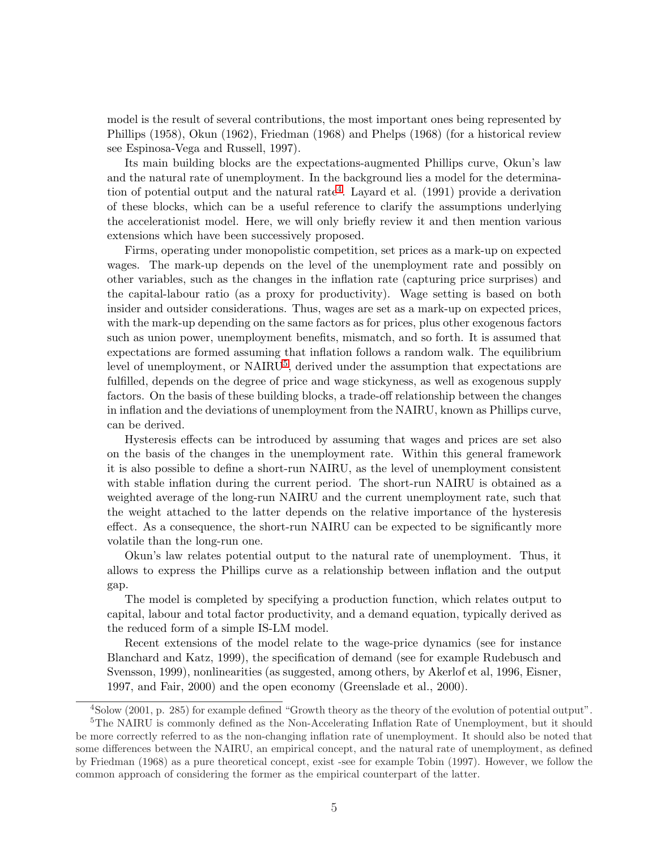model is the result of several contributions, the most important ones being represented by Phillips (1958), Okun (1962), Friedman (1968) and Phelps (1968) (for a historical review see Espinosa-Vega and Russell, 1997).

Its main building blocks are the expectations-augmented Phillips curve, Okun's law and the natural rate of unemployment. In the background lies a model for the determination of potential output and the natural rate<sup>4</sup>. Layard et al.  $(1991)$  provide a derivation of these blocks, which can be a useful reference to clarify the assumptions underlying the accelerationist model. Here, we will only briefly review it and then mention various extensions which have been successively proposed.

Firms, operating under monopolistic competition, set prices as a mark-up on expected wages. The mark-up depends on the level of the unemployment rate and possibly on other variables, such as the changes in the inflation rate (capturing price surprises) and the capital-labour ratio (as a proxy for productivity). Wage setting is based on both insider and outsider considerations. Thus, wages are set as a mark-up on expected prices, with the mark-up depending on the same factors as for prices, plus other exogenous factors such as union power, unemployment benefits, mismatch, and so forth. It is assumed that expectations are formed assuming that inflation follows a random walk. The equilibrium level of unemployment, or  $\text{NAIRU}^5$ , derived under the assumption that expectations are fulfilled, depends on the degree of price and wage stickyness, as well as exogenous supply factors. On the basis of these building blocks, a trade-off relationship between the changes in inflation and the deviations of unemployment from the NAIRU, known as Phillips curve, can be derived.

Hysteresis effects can be introduced by assuming that wages and prices are set also on the basis of the changes in the unemployment rate. Within this general framework it is also possible to define a short-run NAIRU, as the level of unemployment consistent with stable inflation during the current period. The short-run NAIRU is obtained as a weighted average of the long-run NAIRU and the current unemployment rate, such that the weight attached to the latter depends on the relative importance of the hysteresis effect. As a consequence, the short-run NAIRU can be expected to be significantly more volatile than the long-run one.

Okun's law relates potential output to the natural rate of unemployment. Thus, it allows to express the Phillips curve as a relationship between inflation and the output gap.

The model is completed by specifying a production function, which relates output to capital, labour and total factor productivity, and a demand equation, typically derived as the reduced form of a simple IS-LM model.

Recent extensions of the model relate to the wage-price dynamics (see for instance Blanchard and Katz, 1999), the specification of demand (see for example Rudebusch and Svensson, 1999), nonlinearities (as suggested, among others, by Akerlof et al, 1996, Eisner, 1997, and Fair, 2000) and the open economy (Greenslade et al., 2000).

<sup>4</sup>Solow (2001, p. 285) for example defined "Growth theory as the theory of the evolution of potential output". <sup>5</sup>The NAIRU is commonly defined as the Non-Accelerating Inflation Rate of Unemployment, but it should be more correctly referred to as the non-changing inflation rate of unemployment. It should also be noted that some differences between the NAIRU, an empirical concept, and the natural rate of unemployment, as defined by Friedman (1968) as a pure theoretical concept, exist -see for example Tobin (1997). However, we follow the common approach of considering the former as the empirical counterpart of the latter.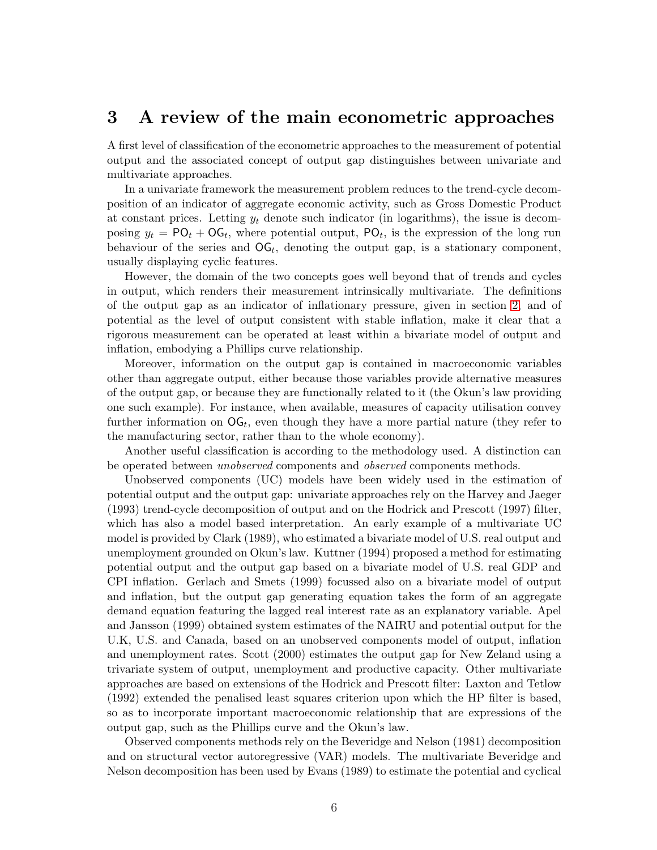### <span id="page-7-0"></span>3 A review of the main econometric approaches

A first level of classification of the econometric approaches to the measurement of potential output and the associated concept of output gap distinguishes between univariate and multivariate approaches.

In a univariate framework the measurement problem reduces to the trend-cycle decomposition of an indicator of aggregate economic activity, such as Gross Domestic Product at constant prices. Letting  $y_t$  denote such indicator (in logarithms), the issue is decomposing  $y_t = \mathsf{PO}_t + \mathsf{OG}_t$ , where potential output,  $\mathsf{PO}_t$ , is the expression of the long run behaviour of the series and  $\mathsf{OG}_t$ , denoting the output gap, is a stationary component, usually displaying cyclic features.

However, the domain of the two concepts goes well beyond that of trends and cycles in output, which renders their measurement intrinsically multivariate. The definitions of the output gap as an indicator of inflationary pressure, given in section [2,](#page-4-0) and of potential as the level of output consistent with stable inflation, make it clear that a rigorous measurement can be operated at least within a bivariate model of output and inflation, embodying a Phillips curve relationship.

Moreover, information on the output gap is contained in macroeconomic variables other than aggregate output, either because those variables provide alternative measures of the output gap, or because they are functionally related to it (the Okun's law providing one such example). For instance, when available, measures of capacity utilisation convey further information on  $\mathsf{OG}_t$ , even though they have a more partial nature (they refer to the manufacturing sector, rather than to the whole economy).

Another useful classification is according to the methodology used. A distinction can be operated between *unobserved* components and *observed* components methods.

Unobserved components (UC) models have been widely used in the estimation of potential output and the output gap: univariate approaches rely on the Harvey and Jaeger (1993) trend-cycle decomposition of output and on the Hodrick and Prescott (1997) filter, which has also a model based interpretation. An early example of a multivariate UC model is provided by Clark (1989), who estimated a bivariate model of U.S. real output and unemployment grounded on Okun's law. Kuttner (1994) proposed a method for estimating potential output and the output gap based on a bivariate model of U.S. real GDP and CPI inflation. Gerlach and Smets (1999) focussed also on a bivariate model of output and inflation, but the output gap generating equation takes the form of an aggregate demand equation featuring the lagged real interest rate as an explanatory variable. Apel and Jansson (1999) obtained system estimates of the NAIRU and potential output for the U.K, U.S. and Canada, based on an unobserved components model of output, inflation and unemployment rates. Scott (2000) estimates the output gap for New Zeland using a trivariate system of output, unemployment and productive capacity. Other multivariate approaches are based on extensions of the Hodrick and Prescott filter: Laxton and Tetlow (1992) extended the penalised least squares criterion upon which the HP filter is based, so as to incorporate important macroeconomic relationship that are expressions of the output gap, such as the Phillips curve and the Okun's law.

Observed components methods rely on the Beveridge and Nelson (1981) decomposition and on structural vector autoregressive (VAR) models. The multivariate Beveridge and Nelson decomposition has been used by Evans (1989) to estimate the potential and cyclical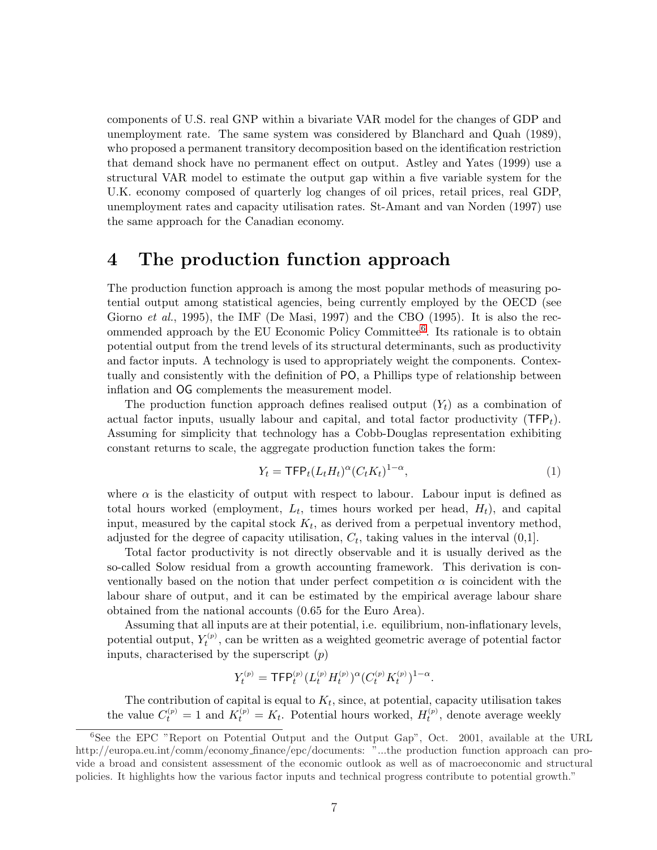<span id="page-8-0"></span>components of U.S. real GNP within a bivariate VAR model for the changes of GDP and unemployment rate. The same system was considered by Blanchard and Quah (1989), who proposed a permanent transitory decomposition based on the identification restriction that demand shock have no permanent effect on output. Astley and Yates (1999) use a structural VAR model to estimate the output gap within a five variable system for the U.K. economy composed of quarterly log changes of oil prices, retail prices, real GDP, unemployment rates and capacity utilisation rates. St-Amant and van Norden (1997) use the same approach for the Canadian economy.

### 4 The production function approach

The production function approach is among the most popular methods of measuring potential output among statistical agencies, being currently employed by the OECD (see Giorno *et al.*, 1995), the IMF (De Masi, 1997) and the CBO (1995). It is also the recommended approach by the EU Economic Policy Committee<sup>6</sup>. Its rationale is to obtain potential output from the trend levels of its structural determinants, such as productivity and factor inputs. A technology is used to appropriately weight the components. Contextually and consistently with the definition of PO, a Phillips type of relationship between inflation and OG complements the measurement model.

The production function approach defines realised output  $(Y_t)$  as a combination of actual factor inputs, usually labour and capital, and total factor productivity  $(TFP<sub>t</sub>)$ . Assuming for simplicity that technology has a Cobb-Douglas representation exhibiting constant returns to scale, the aggregate production function takes the form:

$$
Y_t = \mathsf{TFP}_t(L_t H_t)^\alpha (C_t K_t)^{1-\alpha},\tag{1}
$$

where  $\alpha$  is the elasticity of output with respect to labour. Labour input is defined as total hours worked (employment,  $L_t$ , times hours worked per head,  $H_t$ ), and capital input, measured by the capital stock  $K_t$ , as derived from a perpetual inventory method, adjusted for the degree of capacity utilisation,  $C_t$ , taking values in the interval  $(0,1]$ .

Total factor productivity is not directly observable and it is usually derived as the so-called Solow residual from a growth accounting framework. This derivation is conventionally based on the notion that under perfect competition  $\alpha$  is coincident with the labour share of output, and it can be estimated by the empirical average labour share obtained from the national accounts (0.65 for the Euro Area).

Assuming that all inputs are at their potential, i.e. equilibrium, non-inflationary levels, potential output,  $Y_t^{(p)}$ , can be written as a weighted geometric average of potential factor inputs, characterised by the superscript  $(p)$ 

$$
Y_t^{(p)} = \mathsf{TFP}_t^{(p)} (L_t^{(p)} H_t^{(p)})^\alpha (C_t^{(p)} K_t^{(p)})^{1-\alpha}.
$$

The contribution of capital is equal to  $K_t$ , since, at potential, capacity utilisation takes the value  $C_t^{(p)} = 1$  and  $K_t^{(p)} = K_t$ . Potential hours worked,  $H_t^{(p)}$ , denote average weekly

<sup>&</sup>lt;sup>6</sup>See the EPC "Report on Potential Output and the Output Gap", Oct. 2001, available at the URL http://europa.eu.int/comm/economy finance/epc/documents: "...the production function approach can provide a broad and consistent assessment of the economic outlook as well as of macroeconomic and structural policies. It highlights how the various factor inputs and technical progress contribute to potential growth."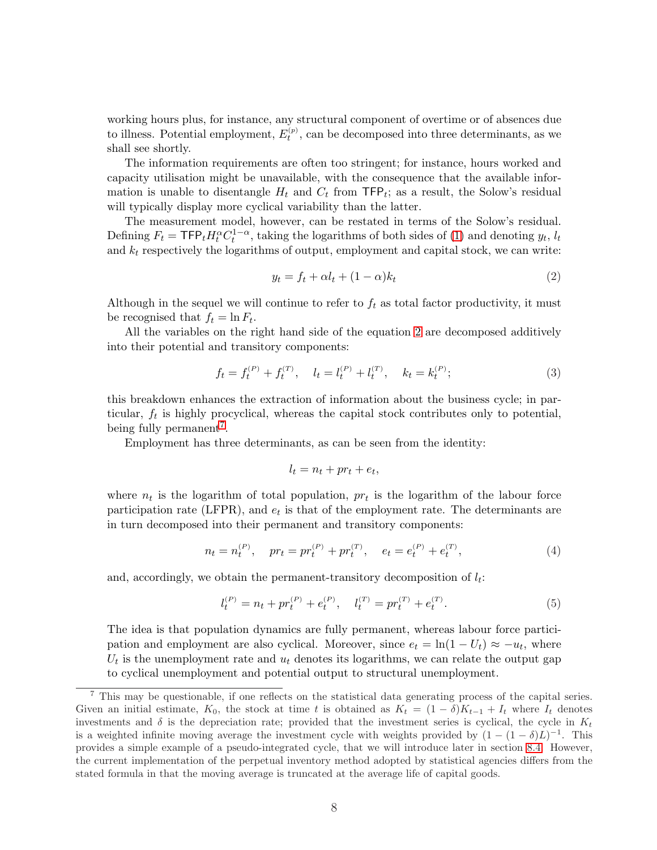<span id="page-9-0"></span>working hours plus, for instance, any structural component of overtime or of absences due to illness. Potential employment,  $E_t^{(p)}$ , can be decomposed into three determinants, as we shall see shortly.

The information requirements are often too stringent; for instance, hours worked and capacity utilisation might be unavailable, with the consequence that the available information is unable to disentangle  $H_t$  and  $C_t$  from TFP<sub>t</sub>; as a result, the Solow's residual will typically display more cyclical variability than the latter.

The measurement model, however, can be restated in terms of the Solow's residual. Defining  $F_t = \text{TFP}_t H_t^{\alpha} C_t^{1-\alpha}$ , taking the logarithms of both sides of [\(1\)](#page-8-0) and denoting  $y_t$ ,  $l_t$ and  $k_t$  respectively the logarithms of output, employment and capital stock, we can write:

$$
y_t = f_t + \alpha l_t + (1 - \alpha)k_t \tag{2}
$$

Although in the sequel we will continue to refer to  $f_t$  as total factor productivity, it must be recognised that  $f_t = \ln F_t$ .

All the variables on the right hand side of the equation 2 are decomposed additively into their potential and transitory components:

$$
f_t = f_t^{(P)} + f_t^{(T)}, \quad l_t = l_t^{(P)} + l_t^{(T)}, \quad k_t = k_t^{(P)};
$$
\n(3)

this breakdown enhances the extraction of information about the business cycle; in particular,  $f_t$  is highly procyclical, whereas the capital stock contributes only to potential, being fully permanent<sup>7</sup>.

Employment has three determinants, as can be seen from the identity:

$$
l_t = n_t + pr_t + e_t,
$$

where  $n_t$  is the logarithm of total population,  $pr_t$  is the logarithm of the labour force participation rate (LFPR), and  $e_t$  is that of the employment rate. The determinants are in turn decomposed into their permanent and transitory components:

$$
n_t = n_t^{(P)}, \quad pr_t = pr_t^{(P)} + pr_t^{(T)}, \quad e_t = e_t^{(P)} + e_t^{(T)}, \tag{4}
$$

and, accordingly, we obtain the permanent-transitory decomposition of  $l_t$ :

$$
l_t^{(P)} = n_t + pr_t^{(P)} + e_t^{(P)}, \quad l_t^{(T)} = pr_t^{(T)} + e_t^{(T)}.
$$
\n
$$
(5)
$$

The idea is that population dynamics are fully permanent, whereas labour force participation and employment are also cyclical. Moreover, since  $e_t = \ln(1 - U_t) \approx -u_t$ , where  $U_t$  is the unemployment rate and  $u_t$  denotes its logarithms, we can relate the output gap to cyclical unemployment and potential output to structural unemployment.

<sup>7</sup> This may be questionable, if one reflects on the statistical data generating process of the capital series. Given an initial estimate, K<sub>0</sub>, the stock at time t is obtained as  $K_t = (1 - \delta)K_{t-1} + I_t$  where  $I_t$  denotes investments and  $\delta$  is the depreciation rate; provided that the investment series is cyclical, the cycle in  $K_t$ is a weighted infinite moving average the investment cycle with weights provided by  $(1 - (1 - \delta)L)^{-1}$ . This provides a simple example of a pseudo-integrated cycle, that we will introduce later in section [8.4.](#page-22-0) However, the current implementation of the perpetual inventory method adopted by statistical agencies differs from the stated formula in that the moving average is truncated at the average life of capital goods.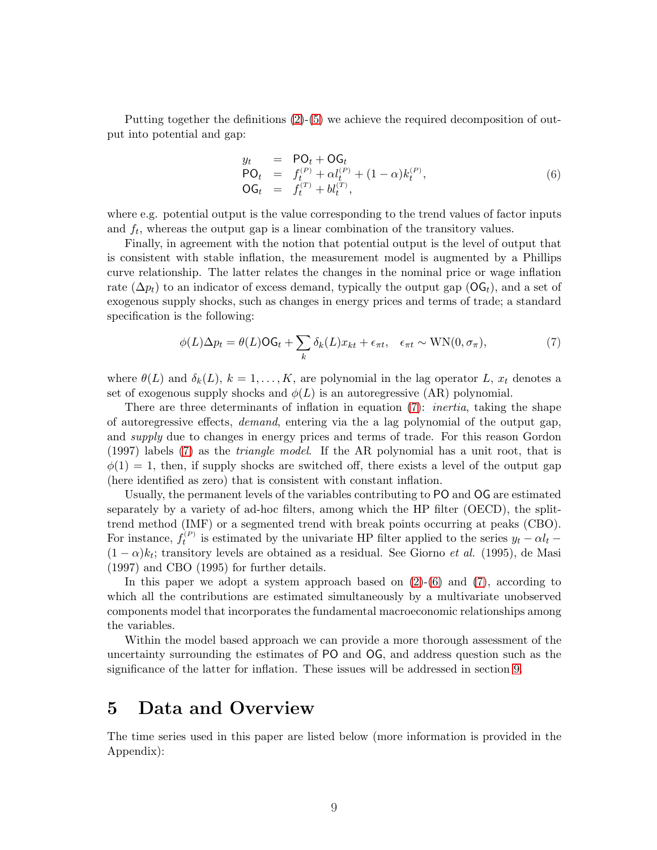<span id="page-10-0"></span>Putting together the definitions [\(2\)](#page-9-0)-[\(5\)](#page-9-0) we achieve the required decomposition of output into potential and gap:

$$
y_t = \mathsf{PO}_t + \mathsf{OG}_t \n\mathsf{PO}_t = f_t^{(P)} + \alpha l_t^{(P)} + (1 - \alpha) k_t^{(P)}, \n\mathsf{OG}_t = f_t^{(T)} + b l_t^{(T)},
$$
\n(6)

where e.g. potential output is the value corresponding to the trend values of factor inputs and  $f_t$ , whereas the output gap is a linear combination of the transitory values.

Finally, in agreement with the notion that potential output is the level of output that is consistent with stable inflation, the measurement model is augmented by a Phillips curve relationship. The latter relates the changes in the nominal price or wage inflation rate ( $\Delta p_t$ ) to an indicator of excess demand, typically the output gap ( $\text{OG}_t$ ), and a set of exogenous supply shocks, such as changes in energy prices and terms of trade; a standard specification is the following:

$$
\phi(L)\Delta p_t = \theta(L)\mathsf{OG}_t + \sum_k \delta_k(L)x_{kt} + \epsilon_{\pi t}, \quad \epsilon_{\pi t} \sim \text{WN}(0, \sigma_{\pi}),\tag{7}
$$

where  $\theta(L)$  and  $\delta_k(L)$ ,  $k = 1, ..., K$ , are polynomial in the lag operator L,  $x_t$  denotes a set of exogenous supply shocks and  $\phi(L)$  is an autoregressive  $(AR)$  polynomial.

There are three determinants of inflation in equation (7): *inertia*, taking the shape of autoregressive effects, demand, entering via the a lag polynomial of the output gap, and *supply* due to changes in energy prices and terms of trade. For this reason Gordon (1997) labels (7) as the triangle model. If the AR polynomial has a unit root, that is  $\phi(1) = 1$ , then, if supply shocks are switched off, there exists a level of the output gap (here identified as zero) that is consistent with constant inflation.

Usually, the permanent levels of the variables contributing to PO and OG are estimated separately by a variety of ad-hoc filters, among which the HP filter (OECD), the splittrend method (IMF) or a segmented trend with break points occurring at peaks (CBO). For instance,  $f_t^{(P)}$  is estimated by the univariate HP filter applied to the series  $y_t - \alpha l_t$  $(1 - \alpha)k_t$ ; transitory levels are obtained as a residual. See Giorno *et al.* (1995), de Masi (1997) and CBO (1995) for further details.

In this paper we adopt a system approach based on  $(2)-(6)$  $(2)-(6)$  and  $(7)$ , according to which all the contributions are estimated simultaneously by a multivariate unobserved components model that incorporates the fundamental macroeconomic relationships among the variables.

Within the model based approach we can provide a more thorough assessment of the uncertainty surrounding the estimates of PO and OG, and address question such as the significance of the latter for inflation. These issues will be addressed in section [9.](#page-25-0)

### 5 Data and Overview

The time series used in this paper are listed below (more information is provided in the Appendix):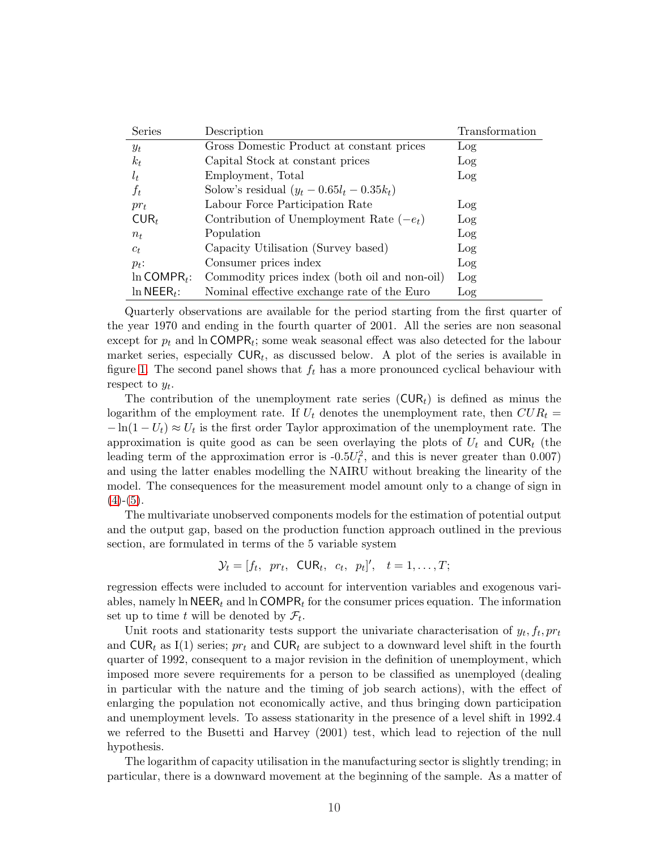| Series                     | Description                                   | Transformation |
|----------------------------|-----------------------------------------------|----------------|
| $y_t$                      | Gross Domestic Product at constant prices     | Log            |
| $k_t$                      | Capital Stock at constant prices              | Log            |
| $l_t$                      | Employment, Total                             | Log            |
| $f_t$                      | Solow's residual $(y_t - 0.65l_t - 0.35k_t)$  |                |
| $pr_t$                     | Labour Force Participation Rate               | Log            |
| $CUR_t$                    | Contribution of Unemployment Rate $(-e_t)$    | Log            |
| $n_{t}$                    | Population                                    | Log            |
| $c_t$                      | Capacity Utilisation (Survey based)           | Log            |
| $p_t$ :                    | Consumer prices index                         | Log            |
| $\ln$ COMPR <sub>t</sub> : | Commodity prices index (both oil and non-oil) | Log            |
| $\ln$ NEER <sub>t</sub> :  | Nominal effective exchange rate of the Euro   | Log            |

Quarterly observations are available for the period starting from the first quarter of the year 1970 and ending in the fourth quarter of 2001. All the series are non seasonal except for  $p_t$  and ln COMPR<sub>t</sub>; some weak seasonal effect was also detected for the labour market series, especially  $\text{CUR}_t$ , as discussed below. A plot of the series is available in figure [1.](#page-35-0) The second panel shows that  $f_t$  has a more pronounced cyclical behaviour with respect to  $y_t$ .

The contribution of the unemployment rate series  $(CUR<sub>t</sub>)$  is defined as minus the logarithm of the employment rate. If  $U_t$  denotes the unemployment rate, then  $CUR_t =$  $-\ln(1-U_t) \approx U_t$  is the first order Taylor approximation of the unemployment rate. The approximation is quite good as can be seen overlaying the plots of  $U_t$  and  $\text{CUR}_t$  (the leading term of the approximation error is  $-0.5U_t^2$ , and this is never greater than 0.007) and using the latter enables modelling the NAIRU without breaking the linearity of the model. The consequences for the measurement model amount only to a change of sign in  $(4)-(5)$  $(4)-(5)$  $(4)-(5)$ .

The multivariate unobserved components models for the estimation of potential output and the output gap, based on the production function approach outlined in the previous section, are formulated in terms of the 5 variable system

$$
\mathcal{Y}_t = [f_t, pr_t, \text{CUR}_t, c_t, p_t]', t = 1, \ldots, T;
$$

regression effects were included to account for intervention variables and exogenous variables, namely ln  $NEER_t$  and ln COMPR<sub>t</sub> for the consumer prices equation. The information set up to time t will be denoted by  $\mathcal{F}_t$ .

Unit roots and stationarity tests support the univariate characterisation of  $y_t, f_t, pr_t$ and  $CUR_t$  as I(1) series;  $pr_t$  and  $CUR_t$  are subject to a downward level shift in the fourth quarter of 1992, consequent to a major revision in the definition of unemployment, which imposed more severe requirements for a person to be classified as unemployed (dealing in particular with the nature and the timing of job search actions), with the effect of enlarging the population not economically active, and thus bringing down participation and unemployment levels. To assess stationarity in the presence of a level shift in 1992.4 we referred to the Busetti and Harvey (2001) test, which lead to rejection of the null hypothesis.

The logarithm of capacity utilisation in the manufacturing sector is slightly trending; in particular, there is a downward movement at the beginning of the sample. As a matter of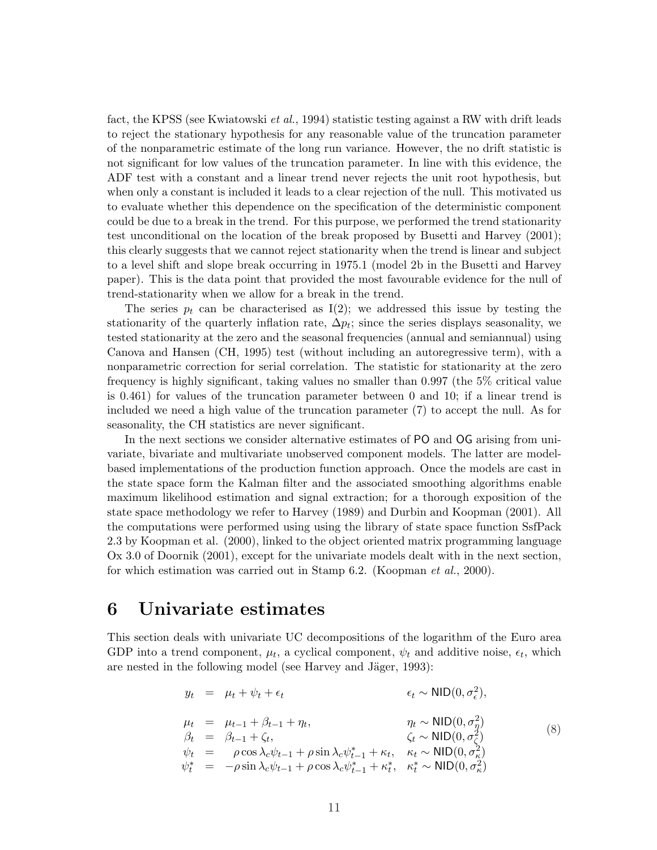<span id="page-12-0"></span>fact, the KPSS (see Kwiatowski *et al.*, 1994) statistic testing against a RW with drift leads to reject the stationary hypothesis for any reasonable value of the truncation parameter of the nonparametric estimate of the long run variance. However, the no drift statistic is not significant for low values of the truncation parameter. In line with this evidence, the ADF test with a constant and a linear trend never rejects the unit root hypothesis, but when only a constant is included it leads to a clear rejection of the null. This motivated us to evaluate whether this dependence on the specification of the deterministic component could be due to a break in the trend. For this purpose, we performed the trend stationarity test unconditional on the location of the break proposed by Busetti and Harvey (2001); this clearly suggests that we cannot reject stationarity when the trend is linear and subject to a level shift and slope break occurring in 1975.1 (model 2b in the Busetti and Harvey paper). This is the data point that provided the most favourable evidence for the null of trend-stationarity when we allow for a break in the trend.

The series  $p_t$  can be characterised as I(2); we addressed this issue by testing the stationarity of the quarterly inflation rate,  $\Delta p_t$ ; since the series displays seasonality, we tested stationarity at the zero and the seasonal frequencies (annual and semiannual) using Canova and Hansen (CH, 1995) test (without including an autoregressive term), with a nonparametric correction for serial correlation. The statistic for stationarity at the zero frequency is highly significant, taking values no smaller than 0.997 (the 5% critical value is 0.461) for values of the truncation parameter between 0 and 10; if a linear trend is included we need a high value of the truncation parameter (7) to accept the null. As for seasonality, the CH statistics are never significant.

In the next sections we consider alternative estimates of PO and OG arising from univariate, bivariate and multivariate unobserved component models. The latter are modelbased implementations of the production function approach. Once the models are cast in the state space form the Kalman filter and the associated smoothing algorithms enable maximum likelihood estimation and signal extraction; for a thorough exposition of the state space methodology we refer to Harvey (1989) and Durbin and Koopman (2001). All the computations were performed using using the library of state space function SsfPack 2.3 by Koopman et al. (2000), linked to the object oriented matrix programming language Ox 3.0 of Doornik (2001), except for the univariate models dealt with in the next section, for which estimation was carried out in Stamp 6.2. (Koopman *et al.*, 2000).

### 6 Univariate estimates

This section deals with univariate UC decompositions of the logarithm of the Euro area GDP into a trend component,  $\mu_t$ , a cyclical component,  $\psi_t$  and additive noise,  $\epsilon_t$ , which are nested in the following model (see Harvey and Jäger, 1993):

$$
y_t = \mu_t + \psi_t + \epsilon_t \qquad \epsilon_t \sim \text{NID}(0, \sigma_\epsilon^2),
$$
  
\n
$$
\mu_t = \mu_{t-1} + \beta_{t-1} + \eta_t, \qquad \eta_t \sim \text{NID}(0, \sigma_\eta^2)
$$
  
\n
$$
\beta_t = \beta_{t-1} + \zeta_t, \qquad \zeta_t \sim \text{NID}(0, \sigma_\gamma^2)
$$
  
\n
$$
\psi_t = \rho \cos \lambda_c \psi_{t-1} + \rho \sin \lambda_c \psi_{t-1}^* + \kappa_t, \qquad \kappa_t \sim \text{NID}(0, \sigma_\kappa^2)
$$
  
\n
$$
\psi_t^* = -\rho \sin \lambda_c \psi_{t-1} + \rho \cos \lambda_c \psi_{t-1}^* + \kappa_t^*, \qquad \kappa_t^* \sim \text{NID}(0, \sigma_\kappa^2)
$$
  
\n(8)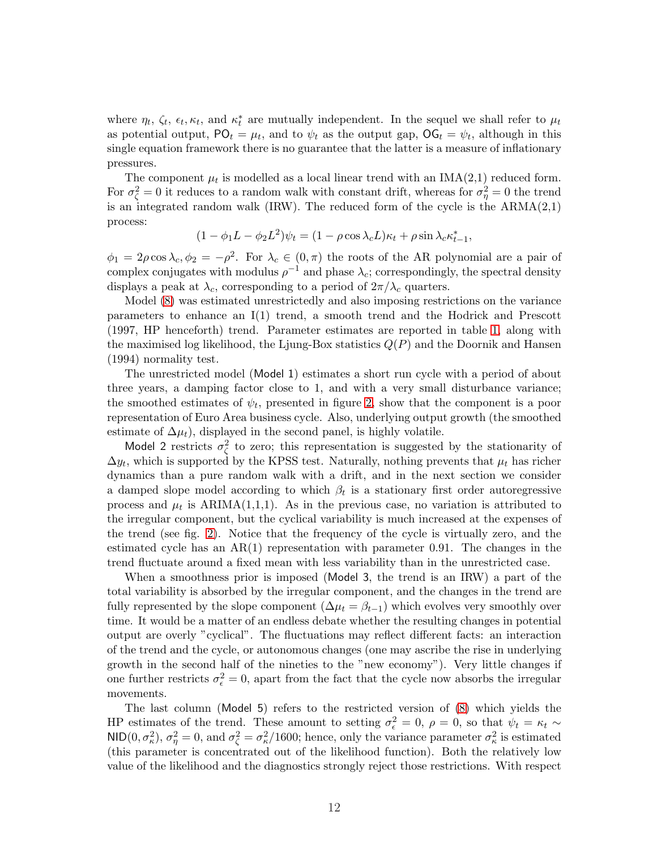where  $\eta_t$ ,  $\zeta_t$ ,  $\epsilon_t$ ,  $\kappa_t$ , and  $\kappa_t^*$  are mutually independent. In the sequel we shall refer to  $\mu_t$ as potential output,  $PO_t = \mu_t$ , and to  $\psi_t$  as the output gap,  $OG_t = \psi_t$ , although in this single equation framework there is no guarantee that the latter is a measure of inflationary pressures.

The component  $\mu_t$  is modelled as a local linear trend with an IMA(2,1) reduced form. For  $\sigma_{\zeta}^2 = 0$  it reduces to a random walk with constant drift, whereas for  $\sigma_{\eta}^2 = 0$  the trend is an integrated random walk (IRW). The reduced form of the cycle is the  $ARMA(2,1)$ process:

$$
(1 - \phi_1 L - \phi_2 L^2)\psi_t = (1 - \rho \cos \lambda_c L)\kappa_t + \rho \sin \lambda_c \kappa_{t-1}^*,
$$

 $\phi_1 = 2\rho \cos \lambda_c, \phi_2 = -\rho^2$ . For  $\lambda_c \in (0, \pi)$  the roots of the AR polynomial are a pair of complex conjugates with modulus  $\rho^{-1}$  and phase  $\lambda_c$ ; correspondingly, the spectral density displays a peak at  $\lambda_c$ , corresponding to a period of  $2\pi/\lambda_c$  quarters.

Model [\(8\)](#page-12-0) was estimated unrestrictedly and also imposing restrictions on the variance parameters to enhance an I(1) trend, a smooth trend and the Hodrick and Prescott (1997, HP henceforth) trend. Parameter estimates are reported in table [1,](#page-35-0) along with the maximised log likelihood, the Ljung-Box statistics  $Q(P)$  and the Doornik and Hansen (1994) normality test.

The unrestricted model (Model 1) estimates a short run cycle with a period of about three years, a damping factor close to 1, and with a very small disturbance variance; the smoothed estimates of  $\psi_t$ , presented in figure [2,](#page-36-0) show that the component is a poor representation of Euro Area business cycle. Also, underlying output growth (the smoothed estimate of  $\Delta \mu_t$ ), displayed in the second panel, is highly volatile.

Model 2 restricts  $\sigma_{\zeta}^2$  to zero; this representation is suggested by the stationarity of  $\Delta y_t$ , which is supported by the KPSS test. Naturally, nothing prevents that  $\mu_t$  has richer dynamics than a pure random walk with a drift, and in the next section we consider a damped slope model according to which  $\beta_t$  is a stationary first order autoregressive process and  $\mu_t$  is ARIMA(1,1,1). As in the previous case, no variation is attributed to the irregular component, but the cyclical variability is much increased at the expenses of the trend (see fig. [2\)](#page-36-0). Notice that the frequency of the cycle is virtually zero, and the estimated cycle has an  $AR(1)$  representation with parameter 0.91. The changes in the trend fluctuate around a fixed mean with less variability than in the unrestricted case.

When a smoothness prior is imposed (Model 3, the trend is an IRW) a part of the total variability is absorbed by the irregular component, and the changes in the trend are fully represented by the slope component  $(\Delta \mu_t = \beta_{t-1})$  which evolves very smoothly over time. It would be a matter of an endless debate whether the resulting changes in potential output are overly "cyclical". The fluctuations may reflect different facts: an interaction of the trend and the cycle, or autonomous changes (one may ascribe the rise in underlying growth in the second half of the nineties to the "new economy"). Very little changes if one further restricts  $\sigma_{\epsilon}^2 = 0$ , apart from the fact that the cycle now absorbs the irregular movements.

The last column (Model 5) refers to the restricted version of [\(8\)](#page-12-0) which yields the HP estimates of the trend. These amount to setting  $\sigma_{\epsilon}^2 = 0$ ,  $\rho = 0$ , so that  $\psi_t = \kappa_t \sim$ NID $(0, \sigma_{\kappa}^2), \sigma_{\eta}^2 = 0$ , and  $\sigma_{\zeta}^2 = \sigma_{\kappa}^2/1600$ ; hence, only the variance parameter  $\sigma_{\kappa}^2$  is estimated (this parameter is concentrated out of the likelihood function). Both the relatively low value of the likelihood and the diagnostics strongly reject those restrictions. With respect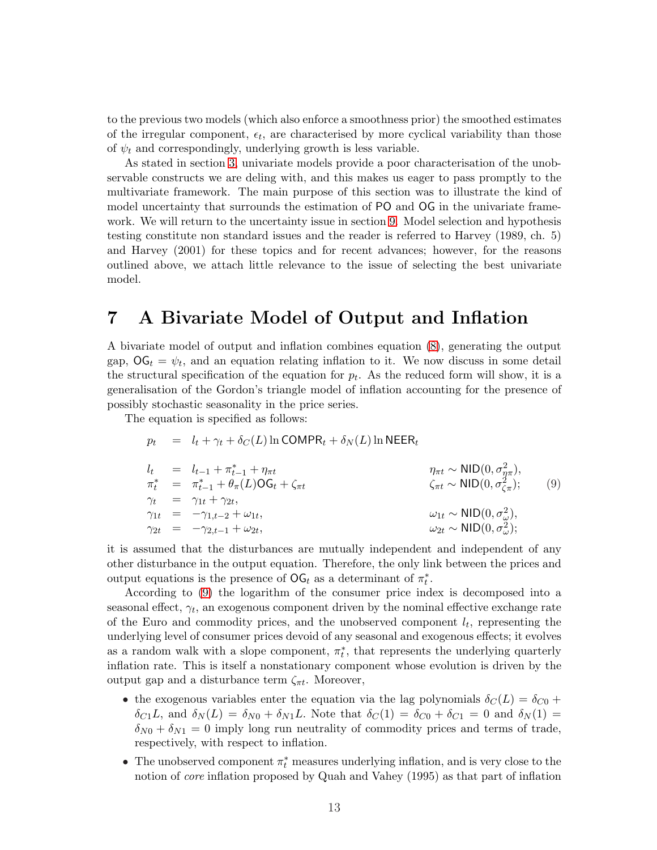<span id="page-14-0"></span>to the previous two models (which also enforce a smoothness prior) the smoothed estimates of the irregular component,  $\epsilon_t$ , are characterised by more cyclical variability than those of  $\psi_t$  and correspondingly, underlying growth is less variable.

As stated in section [3,](#page-7-0) univariate models provide a poor characterisation of the unobservable constructs we are deling with, and this makes us eager to pass promptly to the multivariate framework. The main purpose of this section was to illustrate the kind of model uncertainty that surrounds the estimation of PO and OG in the univariate framework. We will return to the uncertainty issue in section [9.](#page-25-0) Model selection and hypothesis testing constitute non standard issues and the reader is referred to Harvey (1989, ch. 5) and Harvey (2001) for these topics and for recent advances; however, for the reasons outlined above, we attach little relevance to the issue of selecting the best univariate model.

### 7 A Bivariate Model of Output and Inflation

A bivariate model of output and inflation combines equation [\(8\)](#page-12-0), generating the output gap,  $\mathsf{OG}_t = \psi_t$ , and an equation relating inflation to it. We now discuss in some detail the structural specification of the equation for  $p_t$ . As the reduced form will show, it is a generalisation of the Gordon's triangle model of inflation accounting for the presence of possibly stochastic seasonality in the price series.

The equation is specified as follows:

$$
p_t = l_t + \gamma_t + \delta_C(L) \ln \text{COMPR}_t + \delta_N(L) \ln \text{NEER}_t
$$

$$
l_{t} = l_{t-1} + \pi_{t-1}^{*} + \eta_{\pi t}
$$
  
\n
$$
\pi_{t}^{*} = \pi_{t-1}^{*} + \theta_{\pi}(L)OG_{t} + \zeta_{\pi t}
$$
  
\n
$$
\gamma_{t} = \gamma_{1t} + \gamma_{2t},
$$
  
\n
$$
\gamma_{1t} = -\gamma_{1,t-2} + \omega_{1t},
$$
  
\n
$$
\gamma_{2t} = -\gamma_{2,t-1} + \omega_{2t},
$$
  
\n
$$
\omega_{1t} \sim \text{NID}(0, \sigma_{\omega}^{2}),
$$
  
\n
$$
\omega_{2t} \sim \text{NID}(0, \sigma_{\omega}^{2});
$$
  
\n(9)

it is assumed that the disturbances are mutually independent and independent of any other disturbance in the output equation. Therefore, the only link between the prices and output equations is the presence of  $\mathsf{OG}_t$  as a determinant of  $\pi_t^*$ .

According to (9) the logarithm of the consumer price index is decomposed into a seasonal effect,  $\gamma_t$ , an exogenous component driven by the nominal effective exchange rate of the Euro and commodity prices, and the unobserved component  $l_t$ , representing the underlying level of consumer prices devoid of any seasonal and exogenous effects; it evolves as a random walk with a slope component,  $\pi_t^*$ , that represents the underlying quarterly inflation rate. This is itself a nonstationary component whose evolution is driven by the output gap and a disturbance term  $\zeta_{\pi t}$ . Moreover,

- the exogenous variables enter the equation via the lag polynomials  $\delta_C(L) = \delta_{C0} +$  $\delta_{C_1}L$ , and  $\delta_N(L) = \delta_{N0} + \delta_{N1}L$ . Note that  $\delta_C(1) = \delta_{C0} + \delta_{C1} = 0$  and  $\delta_N(1) =$  $\delta_{N0} + \delta_{N1} = 0$  imply long run neutrality of commodity prices and terms of trade, respectively, with respect to inflation.
- The unobserved component  $\pi_t^*$  measures underlying inflation, and is very close to the notion of core inflation proposed by Quah and Vahey (1995) as that part of inflation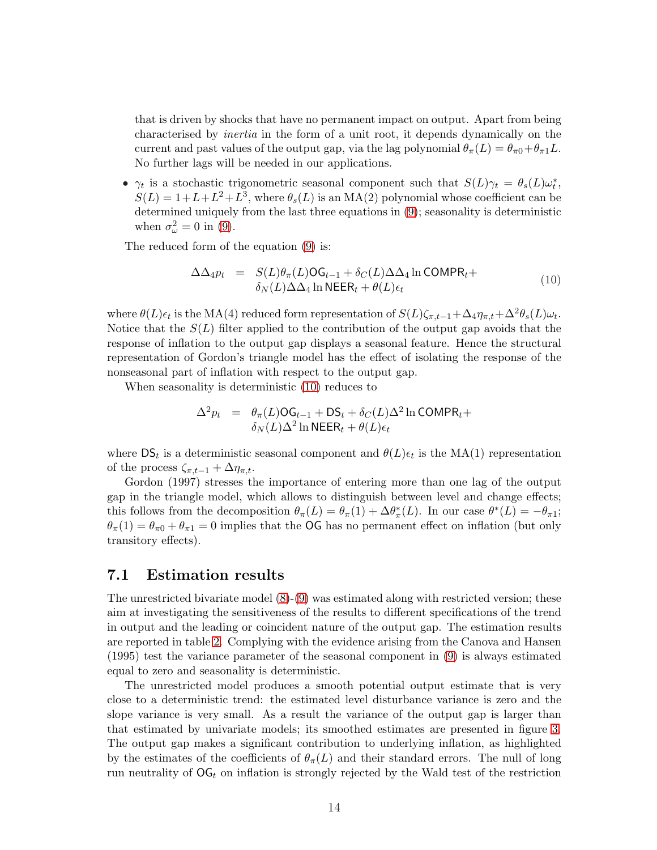that is driven by shocks that have no permanent impact on output. Apart from being characterised by inertia in the form of a unit root, it depends dynamically on the current and past values of the output gap, via the lag polynomial  $\theta_{\pi}(L) = \theta_{\pi 0} + \theta_{\pi 1}L$ . No further lags will be needed in our applications.

•  $\gamma_t$  is a stochastic trigonometric seasonal component such that  $S(L)\gamma_t = \theta_s(L)\omega_t^*$ ,  $S(L) = 1 + L + L^2 + L^3$ , where  $\theta_s(L)$  is an MA(2) polynomial whose coefficient can be determined uniquely from the last three equations in [\(9\)](#page-14-0); seasonality is deterministic when  $\sigma_{\omega}^2 = 0$  in [\(9\)](#page-14-0).

The reduced form of the equation [\(9\)](#page-14-0) is:

$$
\Delta \Delta_4 p_t = S(L)\theta_\pi(L)OG_{t-1} + \delta_C(L)\Delta \Delta_4 \ln \text{COMPR}_t + \delta_N(L)\Delta \Delta_4 \ln \text{NEER}_t + \theta(L)\epsilon_t
$$
\n(10)

where  $\theta(L)\epsilon_t$  is the MA(4) reduced form representation of  $S(L)\zeta_{\pi,t-1}+\Delta_4\eta_{\pi,t}+\Delta^2\theta_s(L)\omega_t$ . Notice that the  $S(L)$  filter applied to the contribution of the output gap avoids that the response of inflation to the output gap displays a seasonal feature. Hence the structural representation of Gordon's triangle model has the effect of isolating the response of the nonseasonal part of inflation with respect to the output gap.

When seasonality is deterministic (10) reduces to

$$
\Delta^2 p_t = \theta_\pi(L) \text{OG}_{t-1} + \text{DS}_t + \delta_C(L) \Delta^2 \ln \text{COMPR}_t + \delta_N(L) \Delta^2 \ln \text{NEER}_t + \theta(L) \epsilon_t
$$

where  $DS_t$  is a deterministic seasonal component and  $\theta(L)\epsilon_t$  is the MA(1) representation of the process  $\zeta_{\pi,t-1} + \Delta \eta_{\pi,t}$ .

Gordon (1997) stresses the importance of entering more than one lag of the output gap in the triangle model, which allows to distinguish between level and change effects; this follows from the decomposition  $\theta_{\pi}(L) = \theta_{\pi}(1) + \Delta \theta_{\pi}^{*}(L)$ . In our case  $\theta^{*}(L) = -\theta_{\pi}$ ;  $\theta_{\pi}(1) = \theta_{\pi 0} + \theta_{\pi 1} = 0$  implies that the **OG** has no permanent effect on inflation (but only transitory effects).

#### 7.1 Estimation results

The unrestricted bivariate model [\(8\)](#page-12-0)-[\(9\)](#page-14-0) was estimated along with restricted version; these aim at investigating the sensitiveness of the results to different specifications of the trend in output and the leading or coincident nature of the output gap. The estimation results are reported in table [2.](#page-42-0) Complying with the evidence arising from the Canova and Hansen (1995) test the variance parameter of the seasonal component in [\(9\)](#page-14-0) is always estimated equal to zero and seasonality is deterministic.

The unrestricted model produces a smooth potential output estimate that is very close to a deterministic trend: the estimated level disturbance variance is zero and the slope variance is very small. As a result the variance of the output gap is larger than that estimated by univariate models; its smoothed estimates are presented in figure [3.](#page-37-0) The output gap makes a significant contribution to underlying inflation, as highlighted by the estimates of the coefficients of  $\theta_{\pi}(L)$  and their standard errors. The null of long run neutrality of  $\mathrm{OG}_t$  on inflation is strongly rejected by the Wald test of the restriction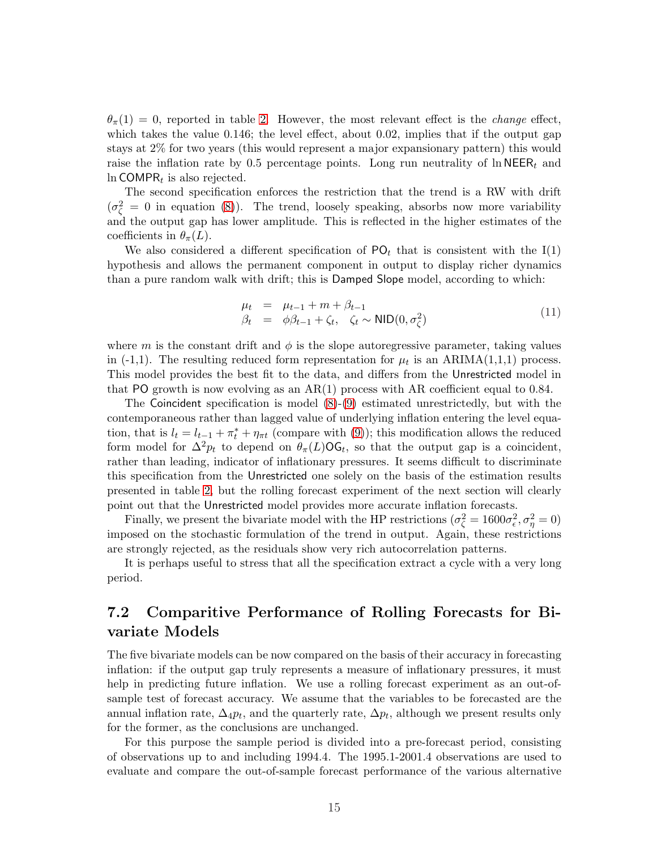<span id="page-16-0"></span> $\theta_{\pi}(1) = 0$ , reported in table [2.](#page-42-0) However, the most relevant effect is the *change* effect, which takes the value 0.146; the level effect, about 0.02, implies that if the output gap stays at 2% for two years (this would represent a major expansionary pattern) this would raise the inflation rate by 0.5 percentage points. Long run neutrality of  $\ln \text{NEER}_t$  and  $\ln$  COMPR<sub>t</sub> is also rejected.

The second specification enforces the restriction that the trend is a RW with drift  $(\sigma_{\zeta}^2 = 0$  in equation [\(8\)](#page-12-0)). The trend, loosely speaking, absorbs now more variability and the output gap has lower amplitude. This is reflected in the higher estimates of the coefficients in  $\theta_{\pi}(L)$ .

We also considered a different specification of  $\mathsf{PO}_t$  that is consistent with the I(1) hypothesis and allows the permanent component in output to display richer dynamics than a pure random walk with drift; this is Damped Slope model, according to which:

$$
\begin{array}{rcl}\n\mu_t & = & \mu_{t-1} + m + \beta_{t-1} \\
\beta_t & = & \phi\beta_{t-1} + \zeta_t, \quad \zeta_t \sim \text{NID}(0, \sigma_\zeta^2)\n\end{array} \tag{11}
$$

where m is the constant drift and  $\phi$  is the slope autoregressive parameter, taking values in (-1,1). The resulting reduced form representation for  $\mu_t$  is an ARIMA(1,1,1) process. This model provides the best fit to the data, and differs from the Unrestricted model in that PO growth is now evolving as an  $AR(1)$  process with AR coefficient equal to 0.84.

The Coincident specification is model [\(8\)](#page-12-0)-[\(9\)](#page-14-0) estimated unrestrictedly, but with the contemporaneous rather than lagged value of underlying inflation entering the level equation, that is  $l_t = l_{t-1} + \pi_t^* + \eta_{\pi t}$  (compare with [\(9\)](#page-14-0)); this modification allows the reduced form model for  $\Delta^2 p_t$  to depend on  $\theta_{\pi}(L) \textsf{OG}_t$ , so that the output gap is a coincident, rather than leading, indicator of inflationary pressures. It seems difficult to discriminate this specification from the Unrestricted one solely on the basis of the estimation results presented in table [2,](#page-42-0) but the rolling forecast experiment of the next section will clearly point out that the Unrestricted model provides more accurate inflation forecasts.

Finally, we present the bivariate model with the HP restrictions  $(\sigma_{\zeta}^2 = 1600\sigma_{\epsilon}^2, \sigma_{\eta}^2 = 0)$ imposed on the stochastic formulation of the trend in output. Again, these restrictions are strongly rejected, as the residuals show very rich autocorrelation patterns.

It is perhaps useful to stress that all the specification extract a cycle with a very long period.

### 7.2 Comparitive Performance of Rolling Forecasts for Bivariate Models

The five bivariate models can be now compared on the basis of their accuracy in forecasting inflation: if the output gap truly represents a measure of inflationary pressures, it must help in predicting future inflation. We use a rolling forecast experiment as an out-ofsample test of forecast accuracy. We assume that the variables to be forecasted are the annual inflation rate,  $\Delta_4 p_t$ , and the quarterly rate,  $\Delta p_t$ , although we present results only for the former, as the conclusions are unchanged.

For this purpose the sample period is divided into a pre-forecast period, consisting of observations up to and including 1994.4. The 1995.1-2001.4 observations are used to evaluate and compare the out-of-sample forecast performance of the various alternative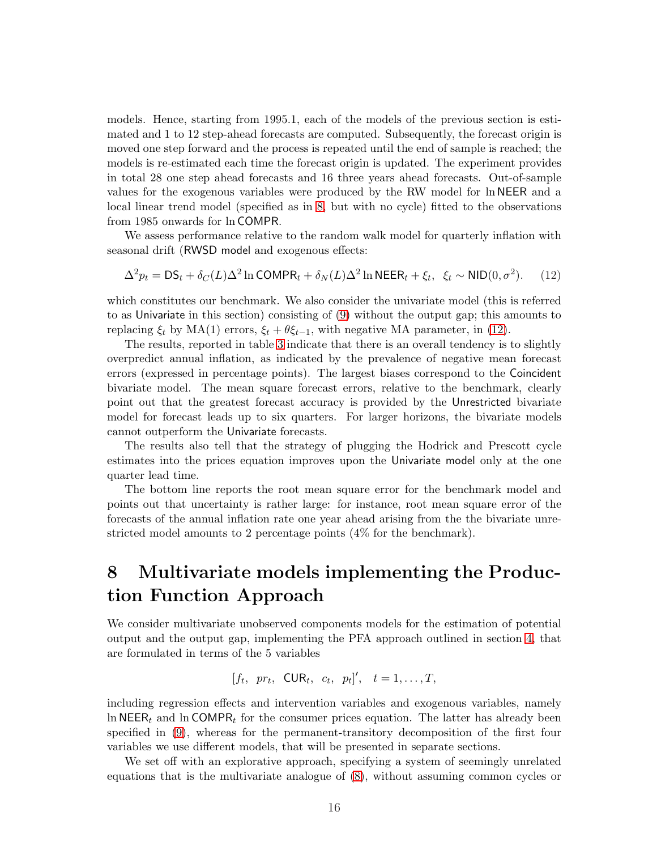<span id="page-17-0"></span>models. Hence, starting from 1995.1, each of the models of the previous section is estimated and 1 to 12 step-ahead forecasts are computed. Subsequently, the forecast origin is moved one step forward and the process is repeated until the end of sample is reached; the models is re-estimated each time the forecast origin is updated. The experiment provides in total 28 one step ahead forecasts and 16 three years ahead forecasts. Out-of-sample values for the exogenous variables were produced by the RW model for ln NEER and a local linear trend model (specified as in [8,](#page-12-0) but with no cycle) fitted to the observations from 1985 onwards for ln COMPR.

We assess performance relative to the random walk model for quarterly inflation with seasonal drift (RWSD model and exogenous effects:

$$
\Delta^2 p_t = \mathsf{DS}_t + \delta_C(L)\Delta^2 \ln \text{COMPR}_t + \delta_N(L)\Delta^2 \ln \text{NEER}_t + \xi_t, \ \xi_t \sim \text{NID}(0, \sigma^2). \tag{12}
$$

which constitutes our benchmark. We also consider the univariate model (this is referred to as Univariate in this section) consisting of [\(9\)](#page-14-0) without the output gap; this amounts to replacing  $\xi_t$  by MA(1) errors,  $\xi_t + \theta \xi_{t-1}$ , with negative MA parameter, in (12).

The results, reported in table [3](#page-43-0) indicate that there is an overall tendency is to slightly overpredict annual inflation, as indicated by the prevalence of negative mean forecast errors (expressed in percentage points). The largest biases correspond to the Coincident bivariate model. The mean square forecast errors, relative to the benchmark, clearly point out that the greatest forecast accuracy is provided by the Unrestricted bivariate model for forecast leads up to six quarters. For larger horizons, the bivariate models cannot outperform the Univariate forecasts.

The results also tell that the strategy of plugging the Hodrick and Prescott cycle estimates into the prices equation improves upon the Univariate model only at the one quarter lead time.

The bottom line reports the root mean square error for the benchmark model and points out that uncertainty is rather large: for instance, root mean square error of the forecasts of the annual inflation rate one year ahead arising from the the bivariate unrestricted model amounts to 2 percentage points (4% for the benchmark).

# 8 Multivariate models implementing the Production Function Approach

We consider multivariate unobserved components models for the estimation of potential output and the output gap, implementing the PFA approach outlined in section [4,](#page-8-0) that are formulated in terms of the 5 variables

$$
[f_t, pr_t, \text{CUR}_t, c_t, p_t]', t = 1, \ldots, T,
$$

including regression effects and intervention variables and exogenous variables, namely ln NEER<sub>t</sub> and ln COMPR<sub>t</sub> for the consumer prices equation. The latter has already been specified in [\(9\)](#page-14-0), whereas for the permanent-transitory decomposition of the first four variables we use different models, that will be presented in separate sections.

We set off with an explorative approach, specifying a system of seemingly unrelated equations that is the multivariate analogue of [\(8\)](#page-12-0), without assuming common cycles or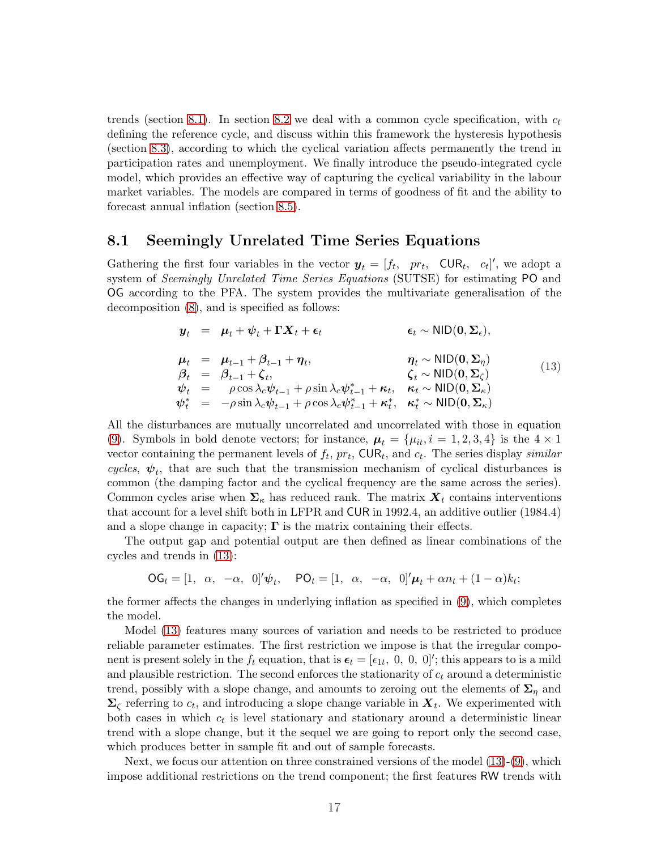<span id="page-18-0"></span>trends (section 8.1). In section [8.2](#page-20-0) we deal with a common cycle specification, with  $c_t$ defining the reference cycle, and discuss within this framework the hysteresis hypothesis (section [8.3\)](#page-21-0), according to which the cyclical variation affects permanently the trend in participation rates and unemployment. We finally introduce the pseudo-integrated cycle model, which provides an effective way of capturing the cyclical variability in the labour market variables. The models are compared in terms of goodness of fit and the ability to forecast annual inflation (section [8.5\)](#page-24-0).

#### 8.1 Seemingly Unrelated Time Series Equations

Gathering the first four variables in the vector  $y_t = [f_t, pr_t, \text{CUR}_t, c_t]'$ , we adopt a system of Seemingly Unrelated Time Series Equations (SUTSE) for estimating PO and OG according to the PFA. The system provides the multivariate generalisation of the decomposition [\(8\)](#page-12-0), and is specified as follows:

$$
\mathbf{y}_{t} = \boldsymbol{\mu}_{t} + \boldsymbol{\psi}_{t} + \boldsymbol{\Gamma} \mathbf{X}_{t} + \boldsymbol{\epsilon}_{t} \qquad \boldsymbol{\epsilon}_{t} \sim \text{NID}(\mathbf{0}, \boldsymbol{\Sigma}_{\epsilon}),
$$
\n
$$
\boldsymbol{\mu}_{t} = \boldsymbol{\mu}_{t-1} + \boldsymbol{\beta}_{t-1} + \boldsymbol{\eta}_{t}, \qquad \boldsymbol{\eta}_{t} \sim \text{NID}(\mathbf{0}, \boldsymbol{\Sigma}_{\eta})
$$
\n
$$
\boldsymbol{\beta}_{t} = \boldsymbol{\beta}_{t-1} + \boldsymbol{\zeta}_{t}, \qquad \boldsymbol{\zeta}_{t} \sim \text{NID}(\mathbf{0}, \boldsymbol{\Sigma}_{\zeta})
$$
\n
$$
\boldsymbol{\psi}_{t} = \rho \cos \lambda_{c} \boldsymbol{\psi}_{t-1} + \rho \sin \lambda_{c} \boldsymbol{\psi}_{t-1}^{*} + \boldsymbol{\kappa}_{t}, \quad \boldsymbol{\kappa}_{t} \sim \text{NID}(\mathbf{0}, \boldsymbol{\Sigma}_{\kappa})
$$
\n
$$
\boldsymbol{\psi}_{t}^{*} = -\rho \sin \lambda_{c} \boldsymbol{\psi}_{t-1} + \rho \cos \lambda_{c} \boldsymbol{\psi}_{t-1}^{*} + \boldsymbol{\kappa}_{t}^{*}, \quad \boldsymbol{\kappa}_{t}^{*} \sim \text{NID}(\mathbf{0}, \boldsymbol{\Sigma}_{\kappa})
$$
\n(13)

All the disturbances are mutually uncorrelated and uncorrelated with those in equation [\(9\)](#page-14-0). Symbols in bold denote vectors; for instance,  $\mu_t = {\mu_{it}, i = 1, 2, 3, 4}$  is the  $4 \times 1$ vector containing the permanent levels of  $f_t$ ,  $pr_t$ ,  $\text{CUR}_t$ , and  $c_t$ . The series display *similar* cycles,  $\psi_t$ , that are such that the transmission mechanism of cyclical disturbances is common (the damping factor and the cyclical frequency are the same across the series). Common cycles arise when  $\Sigma_{\kappa}$  has reduced rank. The matrix  $X_t$  contains interventions that account for a level shift both in LFPR and CUR in 1992.4, an additive outlier (1984.4) and a slope change in capacity;  $\Gamma$  is the matrix containing their effects.

The output gap and potential output are then defined as linear combinations of the cycles and trends in (13):

 $\mathsf{OG}_t = [1, \alpha, -\alpha, 0]'\psi_t, \quad \mathsf{PO}_t = [1, \alpha, -\alpha, 0]'\mu_t + \alpha n_t + (1-\alpha)k_t;$ 

the former affects the changes in underlying inflation as specified in [\(9\)](#page-14-0), which completes the model.

Model (13) features many sources of variation and needs to be restricted to produce reliable parameter estimates. The first restriction we impose is that the irregular component is present solely in the  $f_t$  equation, that is  $\epsilon_t = [\epsilon_{1t}, 0, 0, 0]'$ ; this appears to is a mild and plausible restriction. The second enforces the stationarity of  $c_t$  around a deterministic trend, possibly with a slope change, and amounts to zeroing out the elements of  $\Sigma_n$  and  $\Sigma_{\zeta}$  referring to  $c_t$ , and introducing a slope change variable in  $X_t$ . We experimented with both cases in which  $c_t$  is level stationary and stationary around a deterministic linear trend with a slope change, but it the sequel we are going to report only the second case, which produces better in sample fit and out of sample forecasts.

Next, we focus our attention on three constrained versions of the model (13)-[\(9\)](#page-14-0), which impose additional restrictions on the trend component; the first features RW trends with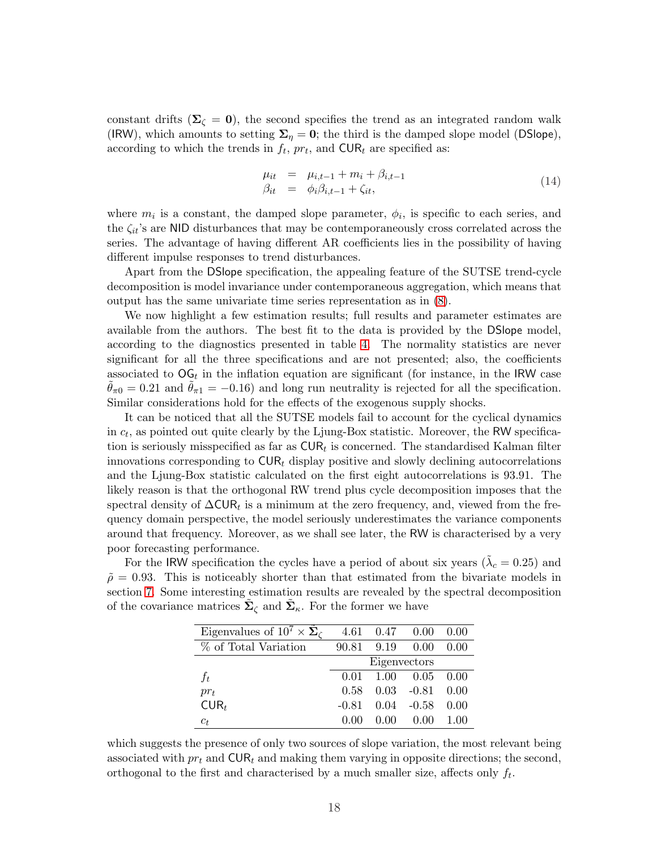<span id="page-19-0"></span>constant drifts ( $\Sigma<sub>c</sub> = 0$ ), the second specifies the trend as an integrated random walk (IRW), which amounts to setting  $\Sigma_{\eta} = 0$ ; the third is the damped slope model (DSlope), according to which the trends in  $f_t$ ,  $pr_t$ , and  $\text{CUR}_t$  are specified as:

$$
\begin{array}{rcl}\n\mu_{it} & = & \mu_{i,t-1} + m_i + \beta_{i,t-1} \\
\beta_{it} & = & \phi_i \beta_{i,t-1} + \zeta_{it},\n\end{array} \tag{14}
$$

where  $m_i$  is a constant, the damped slope parameter,  $\phi_i$ , is specific to each series, and the  $\zeta_{it}$ 's are NID disturbances that may be contemporaneously cross correlated across the series. The advantage of having different AR coefficients lies in the possibility of having different impulse responses to trend disturbances.

Apart from the DSlope specification, the appealing feature of the SUTSE trend-cycle decomposition is model invariance under contemporaneous aggregation, which means that output has the same univariate time series representation as in [\(8\)](#page-12-0).

We now highlight a few estimation results; full results and parameter estimates are available from the authors. The best fit to the data is provided by the DSlope model, according to the diagnostics presented in table [4.](#page-43-0) The normality statistics are never significant for all the three specifications and are not presented; also, the coefficients associated to  $\mathsf{OG}_t$  in the inflation equation are significant (for instance, in the IRW case  $\theta_{\pi0} = 0.21$  and  $\theta_{\pi1} = -0.16$ ) and long run neutrality is rejected for all the specification. Similar considerations hold for the effects of the exogenous supply shocks.

It can be noticed that all the SUTSE models fail to account for the cyclical dynamics in  $c_t$ , as pointed out quite clearly by the Ljung-Box statistic. Moreover, the RW specification is seriously misspecified as far as  $\text{CUR}_t$  is concerned. The standardised Kalman filter innovations corresponding to  $\text{CUR}_t$  display positive and slowly declining autocorrelations and the Ljung-Box statistic calculated on the first eight autocorrelations is 93.91. The likely reason is that the orthogonal RW trend plus cycle decomposition imposes that the spectral density of  $\Delta \text{CUR}_t$  is a minimum at the zero frequency, and, viewed from the frequency domain perspective, the model seriously underestimates the variance components around that frequency. Moreover, as we shall see later, the RW is characterised by a very poor forecasting performance.

For the IRW specification the cycles have a period of about six years ( $\tilde{\lambda}_c = 0.25$ ) and  $\tilde{\rho} = 0.93$ . This is noticeably shorter than that estimated from the bivariate models in section [7.](#page-14-0) Some interesting estimation results are revealed by the spectral decomposition of the covariance matrices  $\tilde{\Sigma}_{\zeta}$  and  $\tilde{\Sigma}_{\kappa}$ . For the former we have

| Eigenvalues of $10^7 \times \Sigma_c$ |         | 4.61  0.47  0.00 |               | 0.00 |
|---------------------------------------|---------|------------------|---------------|------|
| % of Total Variation                  | 90.81   | 9.19             | 0.00          | 0.00 |
|                                       |         | Eigenvectors     |               |      |
| $f_t$                                 | 0.01    | 1.00 0.05        |               | 0.00 |
| $pr_t$                                | 0.58    |                  | $0.03 - 0.81$ | 0.00 |
| $CUR_t$                               | $-0.81$ |                  | $0.04 - 0.58$ | 0.00 |
| $c_t$                                 |         | 0. OO            | 0.00          | 1.00 |

which suggests the presence of only two sources of slope variation, the most relevant being associated with  $pr_t$  and  $\text{CUR}_t$  and making them varying in opposite directions; the second, orthogonal to the first and characterised by a much smaller size, affects only  $f_t$ .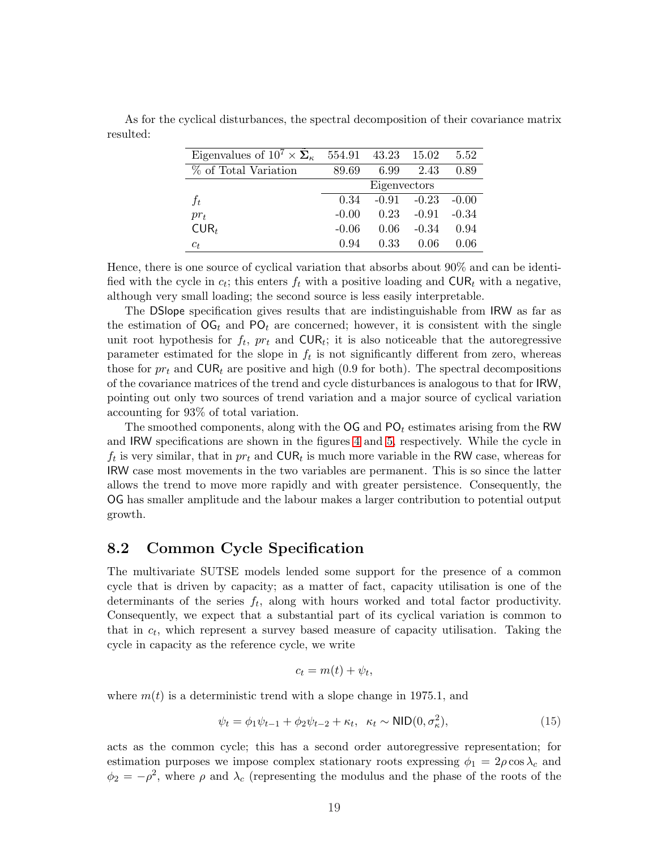| Eigenvalues of $10^7 \times \Sigma_{\kappa}$ | 554.91  | 43.23        | 15.02   | 5.52    |
|----------------------------------------------|---------|--------------|---------|---------|
| % of Total Variation                         | 89.69   | 6.99         | 2.43    | 0.89    |
|                                              |         | Eigenvectors |         |         |
| $f_t$                                        | 0.34    | $-0.91$      | $-0.23$ | $-0.00$ |
| $pr_t$                                       | $-0.00$ | 0.23         | $-0.91$ | $-0.34$ |
| $CUR_t$                                      | $-0.06$ | 0.06         | $-0.34$ | 0.94    |
| $c_t$                                        | 0.94    | 0.33         | 0.06    | 0 06    |

<span id="page-20-0"></span>As for the cyclical disturbances, the spectral decomposition of their covariance matrix resulted:

Hence, there is one source of cyclical variation that absorbs about 90% and can be identified with the cycle in  $c_t$ ; this enters  $f_t$  with a positive loading and  $\text{CUR}_t$  with a negative, although very small loading; the second source is less easily interpretable.

The DSlope specification gives results that are indistinguishable from IRW as far as the estimation of  $\overline{OG}_t$  and  $\overline{PO}_t$  are concerned; however, it is consistent with the single unit root hypothesis for  $f_t$ ,  $pr_t$  and  $\text{CUR}_t$ ; it is also noticeable that the autoregressive parameter estimated for the slope in  $f_t$  is not significantly different from zero, whereas those for  $pr_t$  and  $\text{CUR}_t$  are positive and high (0.9 for both). The spectral decompositions of the covariance matrices of the trend and cycle disturbances is analogous to that for IRW, pointing out only two sources of trend variation and a major source of cyclical variation accounting for 93% of total variation.

The smoothed components, along with the  $\overline{OG}$  and  $\overline{PO}_t$  estimates arising from the RW and IRW specifications are shown in the figures [4](#page-38-0) and [5,](#page-39-0) respectively. While the cycle in  $f_t$  is very similar, that in  $pr_t$  and  $\text{CUR}_t$  is much more variable in the RW case, whereas for IRW case most movements in the two variables are permanent. This is so since the latter allows the trend to move more rapidly and with greater persistence. Consequently, the OG has smaller amplitude and the labour makes a larger contribution to potential output growth.

#### 8.2 Common Cycle Specification

The multivariate SUTSE models lended some support for the presence of a common cycle that is driven by capacity; as a matter of fact, capacity utilisation is one of the determinants of the series  $f_t$ , along with hours worked and total factor productivity. Consequently, we expect that a substantial part of its cyclical variation is common to that in  $c_t$ , which represent a survey based measure of capacity utilisation. Taking the cycle in capacity as the reference cycle, we write

$$
c_t = m(t) + \psi_t,
$$

where  $m(t)$  is a deterministic trend with a slope change in 1975.1, and

$$
\psi_t = \phi_1 \psi_{t-1} + \phi_2 \psi_{t-2} + \kappa_t, \ \kappa_t \sim \text{NID}(0, \sigma_\kappa^2), \tag{15}
$$

acts as the common cycle; this has a second order autoregressive representation; for estimation purposes we impose complex stationary roots expressing  $\phi_1 = 2\rho \cos \lambda_c$  and  $\phi_2 = -\rho^2$ , where  $\rho$  and  $\lambda_c$  (representing the modulus and the phase of the roots of the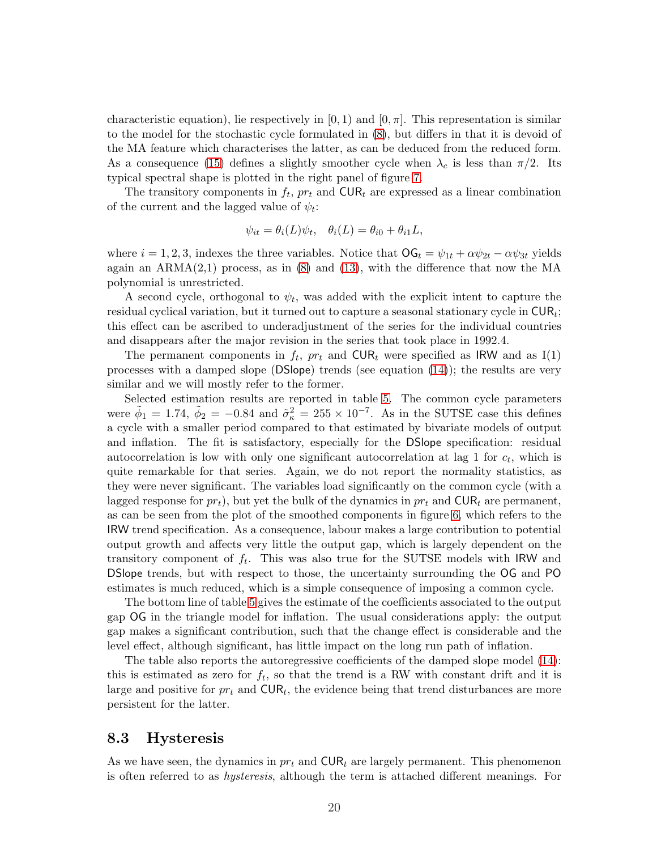<span id="page-21-0"></span>characteristic equation), lie respectively in  $[0, 1)$  and  $[0, \pi]$ . This representation is similar to the model for the stochastic cycle formulated in [\(8\)](#page-12-0), but differs in that it is devoid of the MA feature which characterises the latter, as can be deduced from the reduced form. As a consequence [\(15\)](#page-20-0) defines a slightly smoother cycle when  $\lambda_c$  is less than  $\pi/2$ . Its typical spectral shape is plotted in the right panel of figure [7.](#page-40-0)

The transitory components in  $f_t$ ,  $pr_t$  and  $\text{CUR}_t$  are expressed as a linear combination of the current and the lagged value of  $\psi_t$ :

$$
\psi_{it} = \theta_i(L)\psi_t, \quad \theta_i(L) = \theta_{i0} + \theta_{i1}L,
$$

where  $i = 1, 2, 3$ , indexes the three variables. Notice that  $\mathsf{OG}_t = \psi_{1t} + \alpha \psi_{2t} - \alpha \psi_{3t}$  yields again an  $ARMA(2,1)$  process, as in [\(8\)](#page-12-0) and [\(13\)](#page-18-0), with the difference that now the MA polynomial is unrestricted.

A second cycle, orthogonal to  $\psi_t$ , was added with the explicit intent to capture the residual cyclical variation, but it turned out to capture a seasonal stationary cycle in  $\mathsf{CUR}_t;$ this effect can be ascribed to underadjustment of the series for the individual countries and disappears after the major revision in the series that took place in 1992.4.

The permanent components in  $f_t$ ,  $pr_t$  and  $\text{CUR}_t$  were specified as IRW and as I(1) processes with a damped slope (DSlope) trends (see equation  $(14)$ ); the results are very similar and we will mostly refer to the former.

Selected estimation results are reported in table [5.](#page-44-0) The common cycle parameters were  $\tilde{\phi}_1 = 1.74$ ,  $\tilde{\phi}_2 = -0.84$  and  $\tilde{\sigma}_k^2 = 255 \times 10^{-7}$ . As in the SUTSE case this defines a cycle with a smaller period compared to that estimated by bivariate models of output and inflation. The fit is satisfactory, especially for the DSlope specification: residual autocorrelation is low with only one significant autocorrelation at lag 1 for  $c_t$ , which is quite remarkable for that series. Again, we do not report the normality statistics, as they were never significant. The variables load significantly on the common cycle (with a lagged response for  $pr_t$ ), but yet the bulk of the dynamics in  $pr_t$  and  $\text{CUR}_t$  are permanent, as can be seen from the plot of the smoothed components in figure [6,](#page-40-0) which refers to the IRW trend specification. As a consequence, labour makes a large contribution to potential output growth and affects very little the output gap, which is largely dependent on the transitory component of  $f_t$ . This was also true for the SUTSE models with IRW and DSlope trends, but with respect to those, the uncertainty surrounding the OG and PO estimates is much reduced, which is a simple consequence of imposing a common cycle.

The bottom line of table [5](#page-44-0) gives the estimate of the coefficients associated to the output gap OG in the triangle model for inflation. The usual considerations apply: the output gap makes a significant contribution, such that the change effect is considerable and the level effect, although significant, has little impact on the long run path of inflation.

The table also reports the autoregressive coefficients of the damped slope model [\(14\)](#page-19-0): this is estimated as zero for  $f_t$ , so that the trend is a RW with constant drift and it is large and positive for  $pr_t$  and  $\text{CUR}_t$ , the evidence being that trend disturbances are more persistent for the latter.

#### 8.3 Hysteresis

As we have seen, the dynamics in  $pr_t$  and  $\text{CUR}_t$  are largely permanent. This phenomenon is often referred to as hysteresis, although the term is attached different meanings. For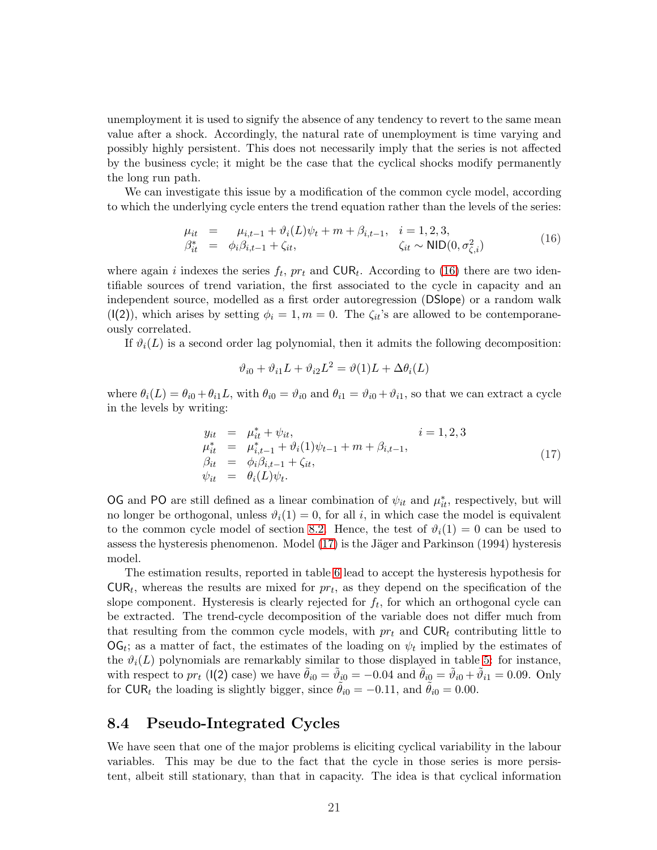<span id="page-22-0"></span>unemployment it is used to signify the absence of any tendency to revert to the same mean value after a shock. Accordingly, the natural rate of unemployment is time varying and possibly highly persistent. This does not necessarily imply that the series is not affected by the business cycle; it might be the case that the cyclical shocks modify permanently the long run path.

We can investigate this issue by a modification of the common cycle model, according to which the underlying cycle enters the trend equation rather than the levels of the series:

$$
\mu_{it} = \mu_{i,t-1} + \vartheta_i(L)\psi_t + m + \beta_{i,t-1}, \quad i = 1, 2, 3,\n\beta_{it}^* = \varphi_i \beta_{i,t-1} + \zeta_{it}, \qquad \zeta_{it} \sim \text{NID}(0, \sigma_{\zeta,i}^2)
$$
\n(16)

where again *i* indexes the series  $f_t$ ,  $pr_t$  and  $\text{CUR}_t$ . According to (16) there are two identifiable sources of trend variation, the first associated to the cycle in capacity and an independent source, modelled as a first order autoregression (DSlope) or a random walk  $(1(2))$ , which arises by setting  $\phi_i = 1, m = 0$ . The  $\zeta_{it}$ 's are allowed to be contemporaneously correlated.

If  $\vartheta_i(L)$  is a second order lag polynomial, then it admits the following decomposition:

$$
\vartheta_{i0} + \vartheta_{i1}L + \vartheta_{i2}L^2 = \vartheta(1)L + \Delta\theta_i(L)
$$

where  $\theta_i(L) = \theta_{i0} + \theta_{i1}L$ , with  $\theta_{i0} = \theta_{i0}$  and  $\theta_{i1} = \theta_{i0} + \theta_{i1}$ , so that we can extract a cycle in the levels by writing:

$$
y_{it} = \mu_{it}^* + \psi_{it},
$$
  
\n
$$
\mu_{it}^* = \mu_{i,t-1}^* + \vartheta_i(1)\psi_{t-1} + m + \beta_{i,t-1},
$$
  
\n
$$
\beta_{it} = \phi_i\beta_{i,t-1} + \zeta_{it},
$$
  
\n
$$
\psi_{it} = \theta_i(L)\psi_t.
$$
\n(17)

OG and PO are still defined as a linear combination of  $\psi_{it}$  and  $\mu_{it}^*$ , respectively, but will no longer be orthogonal, unless  $\vartheta_i(1) = 0$ , for all i, in which case the model is equivalent to the common cycle model of section [8.2.](#page-20-0) Hence, the test of  $\vartheta_i(1) = 0$  can be used to assess the hysteresis phenomenon. Model  $(17)$  is the Jäger and Parkinson  $(1994)$  hysteresis model.

The estimation results, reported in table [6](#page-44-0) lead to accept the hysteresis hypothesis for  $CUR_t$ , whereas the results are mixed for  $pr_t$ , as they depend on the specification of the slope component. Hysteresis is clearly rejected for  $f_t$ , for which an orthogonal cycle can be extracted. The trend-cycle decomposition of the variable does not differ much from that resulting from the common cycle models, with  $pr_t$  and  $\text{CUR}_t$  contributing little to  $\mathsf{OG}_t$ ; as a matter of fact, the estimates of the loading on  $\psi_t$  implied by the estimates of the  $\vartheta_i(L)$  polynomials are remarkably similar to those displayed in table [5:](#page-44-0) for instance, with respect to  $pr_t$  (I(2) case) we have  $\tilde{\theta}_{i0} = \tilde{\vartheta}_{i0} = -0.04$  and  $\tilde{\theta}_{i0} = \tilde{\vartheta}_{i0} + \tilde{\vartheta}_{i1} = 0.09$ . Only for CUR<sub>t</sub> the loading is slightly bigger, since  $\theta_{i0} = -0.11$ , and  $\theta_{i0} = 0.00$ .

#### 8.4 Pseudo-Integrated Cycles

We have seen that one of the major problems is eliciting cyclical variability in the labour variables. This may be due to the fact that the cycle in those series is more persistent, albeit still stationary, than that in capacity. The idea is that cyclical information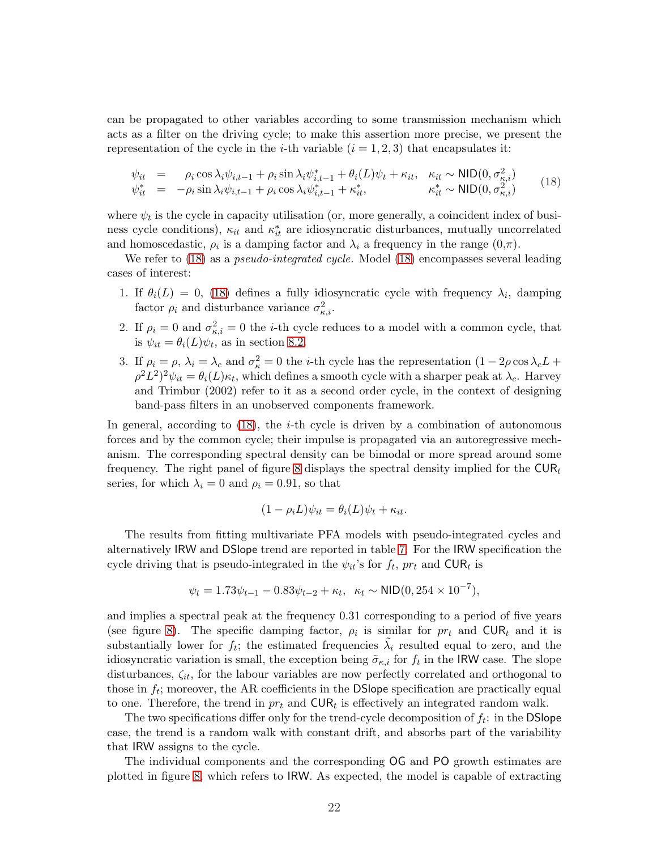can be propagated to other variables according to some transmission mechanism which acts as a filter on the driving cycle; to make this assertion more precise, we present the representation of the cycle in the *i*-th variable  $(i = 1, 2, 3)$  that encapsulates it:

$$
\psi_{it} = \rho_i \cos \lambda_i \psi_{i,t-1} + \rho_i \sin \lambda_i \psi_{i,t-1}^* + \theta_i (L) \psi_t + \kappa_{it}, \quad \kappa_{it} \sim \text{NID}(0, \sigma_{\kappa,i}^2)
$$
  
\n
$$
\psi_{it}^* = -\rho_i \sin \lambda_i \psi_{i,t-1} + \rho_i \cos \lambda_i \psi_{i,t-1}^* + \kappa_{it}^*, \qquad \kappa_{it}^* \sim \text{NID}(0, \sigma_{\kappa,i}^2)
$$
\n(18)

where  $\psi_t$  is the cycle in capacity utilisation (or, more generally, a coincident index of business cycle conditions),  $\kappa_{it}$  and  $\kappa_{it}^*$  are idiosyncratic disturbances, mutually uncorrelated and homoscedastic,  $\rho_i$  is a damping factor and  $\lambda_i$  a frequency in the range  $(0,\pi)$ .

We refer to  $(18)$  as a *pseudo-integrated cycle*. Model  $(18)$  encompasses several leading cases of interest:

- 1. If  $\theta_i(L) = 0$ , (18) defines a fully idiosyncratic cycle with frequency  $\lambda_i$ , damping factor  $\rho_i$  and disturbance variance  $\sigma_{\kappa,i}^2$ .
- 2. If  $\rho_i = 0$  and  $\sigma_{\kappa,i}^2 = 0$  the *i*-th cycle reduces to a model with a common cycle, that is  $\psi_{it} = \theta_i(L)\psi_t$ , as in section [8.2.](#page-20-0)
- 3. If  $\rho_i = \rho$ ,  $\lambda_i = \lambda_c$  and  $\sigma_{\kappa}^2 = 0$  the *i*-th cycle has the representation  $(1 2\rho \cos \lambda_c L +$  $\rho^2 L^2 \psi_{it} = \theta_i(L) \kappa_t$ , which defines a smooth cycle with a sharper peak at  $\lambda_c$ . Harvey and Trimbur (2002) refer to it as a second order cycle, in the context of designing band-pass filters in an unobserved components framework.

In general, according to  $(18)$ , the *i*-th cycle is driven by a combination of autonomous forces and by the common cycle; their impulse is propagated via an autoregressive mechanism. The corresponding spectral density can be bimodal or more spread around some frequency. The right panel of figure [8](#page-41-0) displays the spectral density implied for the  $\text{CUR}_t$ series, for which  $\lambda_i = 0$  and  $\rho_i = 0.91$ , so that

$$
(1 - \rho_i L)\psi_{it} = \theta_i(L)\psi_t + \kappa_{it}.
$$

The results from fitting multivariate PFA models with pseudo-integrated cycles and alternatively IRW and DSlope trend are reported in table [7.](#page-44-0) For the IRW specification the cycle driving that is pseudo-integrated in the  $\psi_{it}$ 's for  $f_t$ ,  $pr_t$  and  $\text{CUR}_t$  is

$$
\psi_t = 1.73\psi_{t-1} - 0.83\psi_{t-2} + \kappa_t, \ \kappa_t \sim \text{NID}(0, 254 \times 10^{-7}),
$$

and implies a spectral peak at the frequency 0.31 corresponding to a period of five years (see figure [8\)](#page-41-0). The specific damping factor,  $\rho_i$  is similar for  $pr_t$  and  $\text{CUR}_t$  and it is substantially lower for  $f_t$ ; the estimated frequencies  $\tilde{\lambda}_i$  resulted equal to zero, and the idiosyncratic variation is small, the exception being  $\tilde{\sigma}_{\kappa,i}$  for  $f_t$  in the IRW case. The slope disturbances,  $\zeta_{it}$ , for the labour variables are now perfectly correlated and orthogonal to those in  $f_t$ ; moreover, the AR coefficients in the DSlope specification are practically equal to one. Therefore, the trend in  $pr_t$  and  $\text{CUR}_t$  is effectively an integrated random walk.

The two specifications differ only for the trend-cycle decomposition of  $f_t$ : in the DSlope case, the trend is a random walk with constant drift, and absorbs part of the variability that IRW assigns to the cycle.

The individual components and the corresponding OG and PO growth estimates are plotted in figure [8,](#page-41-0) which refers to IRW. As expected, the model is capable of extracting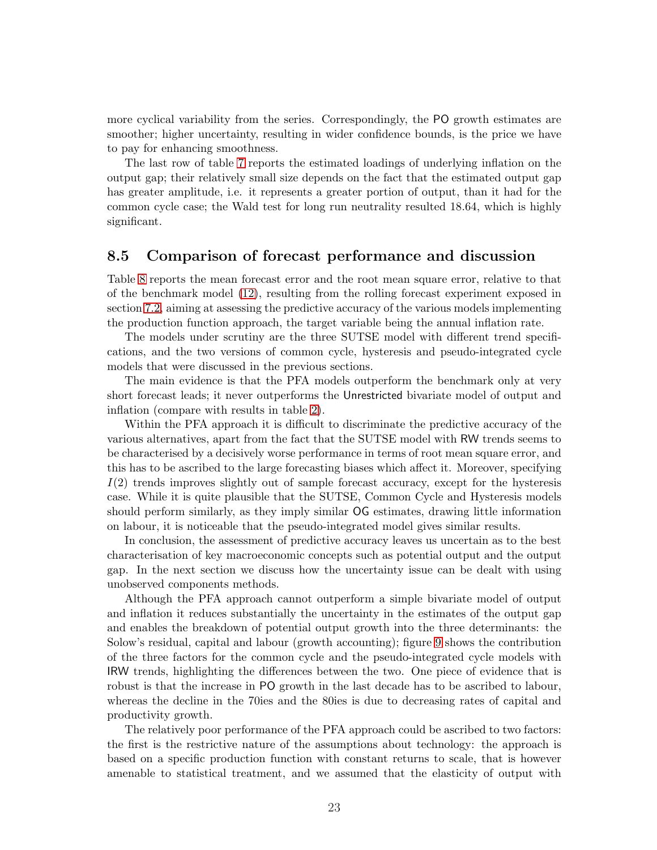<span id="page-24-0"></span>more cyclical variability from the series. Correspondingly, the PO growth estimates are smoother; higher uncertainty, resulting in wider confidence bounds, is the price we have to pay for enhancing smoothness.

The last row of table [7](#page-44-0) reports the estimated loadings of underlying inflation on the output gap; their relatively small size depends on the fact that the estimated output gap has greater amplitude, i.e. it represents a greater portion of output, than it had for the common cycle case; the Wald test for long run neutrality resulted 18.64, which is highly significant.

#### 8.5 Comparison of forecast performance and discussion

Table [8](#page-45-0) reports the mean forecast error and the root mean square error, relative to that of the benchmark model [\(12\)](#page-17-0), resulting from the rolling forecast experiment exposed in section [7.2,](#page-16-0) aiming at assessing the predictive accuracy of the various models implementing the production function approach, the target variable being the annual inflation rate.

The models under scrutiny are the three SUTSE model with different trend specifications, and the two versions of common cycle, hysteresis and pseudo-integrated cycle models that were discussed in the previous sections.

The main evidence is that the PFA models outperform the benchmark only at very short forecast leads; it never outperforms the Unrestricted bivariate model of output and inflation (compare with results in table [2\)](#page-42-0).

Within the PFA approach it is difficult to discriminate the predictive accuracy of the various alternatives, apart from the fact that the SUTSE model with RW trends seems to be characterised by a decisively worse performance in terms of root mean square error, and this has to be ascribed to the large forecasting biases which affect it. Moreover, specifying  $I(2)$  trends improves slightly out of sample forecast accuracy, except for the hysteresis case. While it is quite plausible that the SUTSE, Common Cycle and Hysteresis models should perform similarly, as they imply similar OG estimates, drawing little information on labour, it is noticeable that the pseudo-integrated model gives similar results.

In conclusion, the assessment of predictive accuracy leaves us uncertain as to the best characterisation of key macroeconomic concepts such as potential output and the output gap. In the next section we discuss how the uncertainty issue can be dealt with using unobserved components methods.

Although the PFA approach cannot outperform a simple bivariate model of output and inflation it reduces substantially the uncertainty in the estimates of the output gap and enables the breakdown of potential output growth into the three determinants: the Solow's residual, capital and labour (growth accounting); figure [9](#page-41-0) shows the contribution of the three factors for the common cycle and the pseudo-integrated cycle models with IRW trends, highlighting the differences between the two. One piece of evidence that is robust is that the increase in PO growth in the last decade has to be ascribed to labour, whereas the decline in the 70ies and the 80ies is due to decreasing rates of capital and productivity growth.

The relatively poor performance of the PFA approach could be ascribed to two factors: the first is the restrictive nature of the assumptions about technology: the approach is based on a specific production function with constant returns to scale, that is however amenable to statistical treatment, and we assumed that the elasticity of output with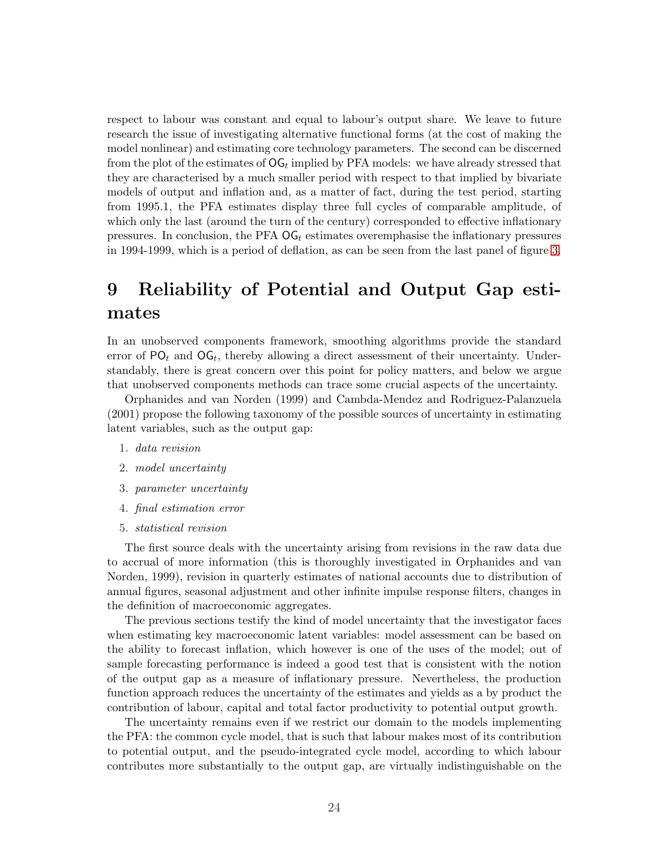<span id="page-25-0"></span>respect to labour was constant and equal to labour's output share. We leave to future research the issue of investigating alternative functional forms (at the cost of making the model nonlinear) and estimating core technology parameters. The second can be discerned from the plot of the estimates of  $\mathsf{OG}_t$  implied by PFA models: we have already stressed that they are characterised by a much smaller period with respect to that implied by bivariate models of output and inflation and, as a matter of fact, during the test period, starting from 1995.1, the PFA estimates display three full cycles of comparable amplitude, of which only the last (around the turn of the century) corresponded to effective inflationary pressures. In conclusion, the PFA  $\text{OG}_t$  estimates overemphasise the inflationary pressures in 1994-1999, which is a period of deflation, as can be seen from the last panel of figure [3.](#page-37-0)

# 9 Reliability of Potential and Output Gap estimates

In an unobserved components framework, smoothing algorithms provide the standard error of  $PO_t$  and  $OG_t$ , thereby allowing a direct assessment of their uncertainty. Understandably, there is great concern over this point for policy matters, and below we argue that unobserved components methods can trace some crucial aspects of the uncertainty.

Orphanides and van Norden (1999) and Cambda-Mendez and Rodriguez-Palanzuela (2001) propose the following taxonomy of the possible sources of uncertainty in estimating latent variables, such as the output gap:

- 1. data revision
- 2. model uncertainty
- 3. parameter uncertainty
- 4. final estimation error
- 5. statistical revision

The first source deals with the uncertainty arising from revisions in the raw data due to accrual of more information (this is thoroughly investigated in Orphanides and van Norden, 1999), revision in quarterly estimates of national accounts due to distribution of annual figures, seasonal adjustment and other infinite impulse response filters, changes in the definition of macroeconomic aggregates.

The previous sections testify the kind of model uncertainty that the investigator faces when estimating key macroeconomic latent variables: model assessment can be based on the ability to forecast inflation, which however is one of the uses of the model; out of sample forecasting performance is indeed a good test that is consistent with the notion of the output gap as a measure of inflationary pressure. Nevertheless, the production function approach reduces the uncertainty of the estimates and yields as a by product the contribution of labour, capital and total factor productivity to potential output growth.

The uncertainty remains even if we restrict our domain to the models implementing the PFA: the common cycle model, that is such that labour makes most of its contribution to potential output, and the pseudo-integrated cycle model, according to which labour contributes more substantially to the output gap, are virtually indistinguishable on the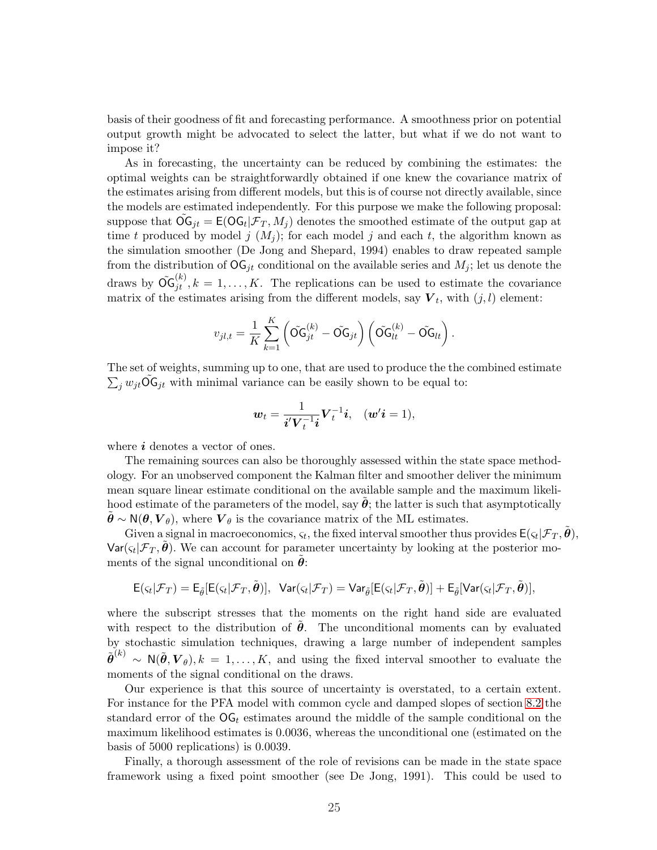basis of their goodness of fit and forecasting performance. A smoothness prior on potential output growth might be advocated to select the latter, but what if we do not want to impose it?

As in forecasting, the uncertainty can be reduced by combining the estimates: the optimal weights can be straightforwardly obtained if one knew the covariance matrix of the estimates arising from different models, but this is of course not directly available, since the models are estimated independently. For this purpose we make the following proposal: suppose that  $\widetilde{\mathsf{OG}}_{jt} = \mathsf{E}(\mathsf{OG}_t | \mathcal{F}_T, M_j)$  denotes the smoothed estimate of the output gap at time t produced by model j  $(M_i)$ ; for each model j and each t, the algorithm known as the simulation smoother (De Jong and Shepard, 1994) enables to draw repeated sample from the distribution of  $\mathsf{OG}_{it}$  conditional on the available series and  $M_i$ ; let us denote the draws by  $\tilde{\mathsf{OG}}_{jt}^{(k)}, k = 1, \ldots, K$ . The replications can be used to estimate the covariance matrix of the estimates arising from the different models, say  $V_t$ , with  $(j, l)$  element:

$$
v_{jl,t} = \frac{1}{K} \sum_{k=1}^{K} \left( \tilde{\mathbf{OG}}_{jt}^{(k)} - \tilde{\mathbf{OG}}_{jt} \right) \left( \tilde{\mathbf{OG}}_{lt}^{(k)} - \tilde{\mathbf{OG}}_{lt} \right).
$$

The set of weights, summing up to one, that are used to produce the the combined estimate The set of weights, summing up to one, that are used to produce the the  $\sum_j w_{jt} \widetilde{\mathbf{O}} \mathbf{G}_{jt}$  with minimal variance can be easily shown to be equal to:

$$
\mathbf{w}_t = \frac{1}{\mathbf{i}' \mathbf{V}_t^{-1} \mathbf{i}} \mathbf{V}_t^{-1} \mathbf{i}, \quad (\mathbf{w'}\mathbf{i} = 1),
$$

where  $i$  denotes a vector of ones.

The remaining sources can also be thoroughly assessed within the state space methodology. For an unobserved component the Kalman filter and smoother deliver the minimum mean square linear estimate conditional on the available sample and the maximum likelihood estimate of the parameters of the model, say  $\tilde{\theta}$ ; the latter is such that asymptotically  $\theta \sim N(\theta, V_{\theta})$ , where  $V_{\theta}$  is the covariance matrix of the ML estimates.

Given a signal in macroeconomics,  $\varsigma_t$ , the fixed interval smoother thus provides  $E(\varsigma_t|\mathcal{F}_T, \tilde{\theta})$ ,  $\text{Var}(\varsigma_t | \mathcal{F}_T, \tilde{\boldsymbol{\theta}})$ . We can account for parameter uncertainty by looking at the posterior moments of the signal unconditional on  $\theta$ :

$$
\mathsf{E}(\varsigma_t|\mathcal F_T)=\mathsf{E}_{\tilde{\theta}}[\mathsf{E}(\varsigma_t|\mathcal F_T,\tilde{\pmb{\theta}})],\;\;\mathsf{Var}(\varsigma_t|\mathcal F_T)=\mathsf{Var}_{\tilde{\theta}}[\mathsf{E}(\varsigma_t|\mathcal F_T,\tilde{\pmb{\theta}})]+\mathsf{E}_{\tilde{\theta}}[\mathsf{Var}(\varsigma_t|\mathcal F_T,\tilde{\pmb{\theta}})],
$$

where the subscript stresses that the moments on the right hand side are evaluated with respect to the distribution of  $\theta$ . The unconditional moments can by evaluated by stochastic simulation techniques, drawing a large number of independent samples  $\tilde{\boldsymbol{\theta}}^{(k)} \sim \mathsf{N}(\tilde{\boldsymbol{\theta}}, \boldsymbol{V}_{\theta}), k = 1, \ldots, K$ , and using the fixed interval smoother to evaluate the moments of the signal conditional on the draws.

Our experience is that this source of uncertainty is overstated, to a certain extent. For instance for the PFA model with common cycle and damped slopes of section [8.2](#page-20-0) the standard error of the  $\overline{OG}_t$  estimates around the middle of the sample conditional on the maximum likelihood estimates is 0.0036, whereas the unconditional one (estimated on the basis of 5000 replications) is 0.0039.

Finally, a thorough assessment of the role of revisions can be made in the state space framework using a fixed point smoother (see De Jong, 1991). This could be used to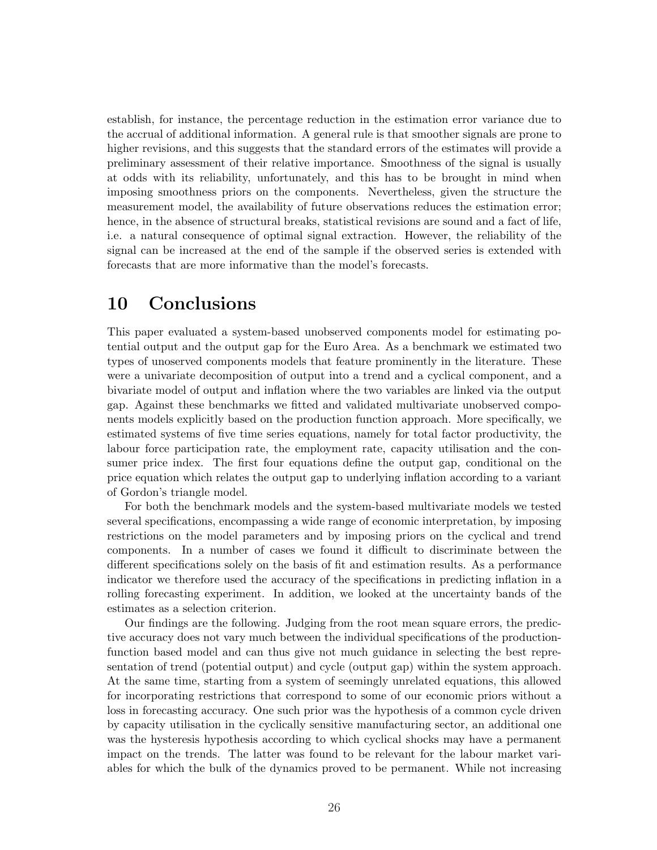establish, for instance, the percentage reduction in the estimation error variance due to the accrual of additional information. A general rule is that smoother signals are prone to higher revisions, and this suggests that the standard errors of the estimates will provide a preliminary assessment of their relative importance. Smoothness of the signal is usually at odds with its reliability, unfortunately, and this has to be brought in mind when imposing smoothness priors on the components. Nevertheless, given the structure the measurement model, the availability of future observations reduces the estimation error; hence, in the absence of structural breaks, statistical revisions are sound and a fact of life, i.e. a natural consequence of optimal signal extraction. However, the reliability of the signal can be increased at the end of the sample if the observed series is extended with forecasts that are more informative than the model's forecasts.

### 10 Conclusions

This paper evaluated a system-based unobserved components model for estimating potential output and the output gap for the Euro Area. As a benchmark we estimated two types of unoserved components models that feature prominently in the literature. These were a univariate decomposition of output into a trend and a cyclical component, and a bivariate model of output and inflation where the two variables are linked via the output gap. Against these benchmarks we fitted and validated multivariate unobserved components models explicitly based on the production function approach. More specifically, we estimated systems of five time series equations, namely for total factor productivity, the labour force participation rate, the employment rate, capacity utilisation and the consumer price index. The first four equations define the output gap, conditional on the price equation which relates the output gap to underlying inflation according to a variant of Gordon's triangle model.

For both the benchmark models and the system-based multivariate models we tested several specifications, encompassing a wide range of economic interpretation, by imposing restrictions on the model parameters and by imposing priors on the cyclical and trend components. In a number of cases we found it difficult to discriminate between the different specifications solely on the basis of fit and estimation results. As a performance indicator we therefore used the accuracy of the specifications in predicting inflation in a rolling forecasting experiment. In addition, we looked at the uncertainty bands of the estimates as a selection criterion.

Our findings are the following. Judging from the root mean square errors, the predictive accuracy does not vary much between the individual specifications of the productionfunction based model and can thus give not much guidance in selecting the best representation of trend (potential output) and cycle (output gap) within the system approach. At the same time, starting from a system of seemingly unrelated equations, this allowed for incorporating restrictions that correspond to some of our economic priors without a loss in forecasting accuracy. One such prior was the hypothesis of a common cycle driven by capacity utilisation in the cyclically sensitive manufacturing sector, an additional one was the hysteresis hypothesis according to which cyclical shocks may have a permanent impact on the trends. The latter was found to be relevant for the labour market variables for which the bulk of the dynamics proved to be permanent. While not increasing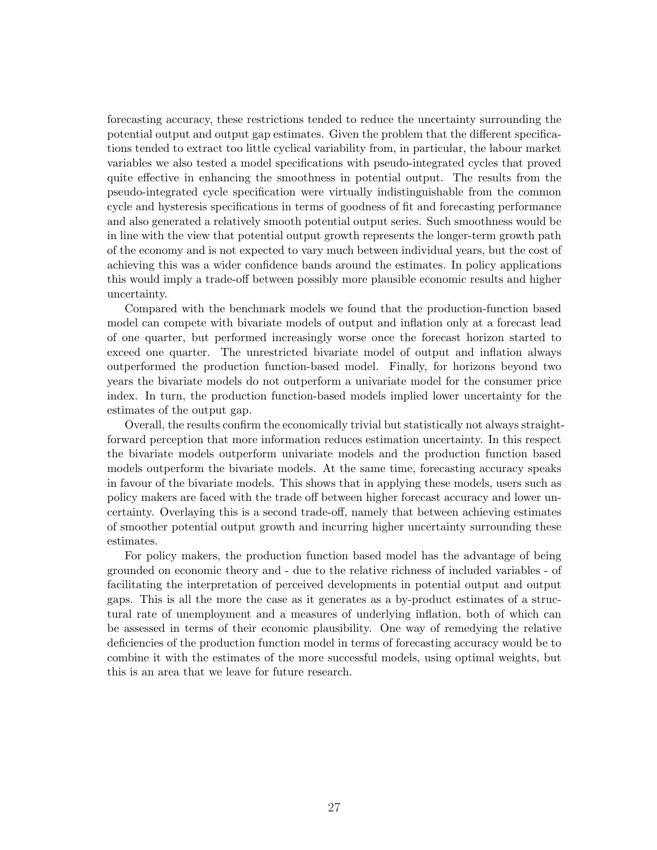forecasting accuracy, these restrictions tended to reduce the uncertainty surrounding the potential output and output gap estimates. Given the problem that the different specifications tended to extract too little cyclical variability from, in particular, the labour market variables we also tested a model specifications with pseudo-integrated cycles that proved quite effective in enhancing the smoothness in potential output. The results from the pseudo-integrated cycle specification were virtually indistinguishable from the common cycle and hysteresis specifications in terms of goodness of fit and forecasting performance and also generated a relatively smooth potential output series. Such smoothness would be in line with the view that potential output growth represents the longer-term growth path of the economy and is not expected to vary much between individual years, but the cost of achieving this was a wider confidence bands around the estimates. In policy applications this would imply a trade-off between possibly more plausible economic results and higher uncertainty.

Compared with the benchmark models we found that the production-function based model can compete with bivariate models of output and inflation only at a forecast lead of one quarter, but performed increasingly worse once the forecast horizon started to exceed one quarter. The unrestricted bivariate model of output and inflation always outperformed the production function-based model. Finally, for horizons beyond two years the bivariate models do not outperform a univariate model for the consumer price index. In turn, the production function-based models implied lower uncertainty for the estimates of the output gap.

Overall, the results confirm the economically trivial but statistically not always straightforward perception that more information reduces estimation uncertainty. In this respect the bivariate models outperform univariate models and the production function based models outperform the bivariate models. At the same time, forecasting accuracy speaks in favour of the bivariate models. This shows that in applying these models, users such as policy makers are faced with the trade off between higher forecast accuracy and lower uncertainty. Overlaying this is a second trade-off, namely that between achieving estimates of smoother potential output growth and incurring higher uncertainty surrounding these estimates.

For policy makers, the production function based model has the advantage of being grounded on economic theory and - due to the relative richness of included variables - of facilitating the interpretation of perceived developments in potential output and output gaps. This is all the more the case as it generates as a by-product estimates of a structural rate of unemployment and a measures of underlying inflation, both of which can be assessed in terms of their economic plausibility. One way of remedying the relative deficiencies of the production function model in terms of forecasting accuracy would be to combine it with the estimates of the more successful models, using optimal weights, but this is an area that we leave for future research.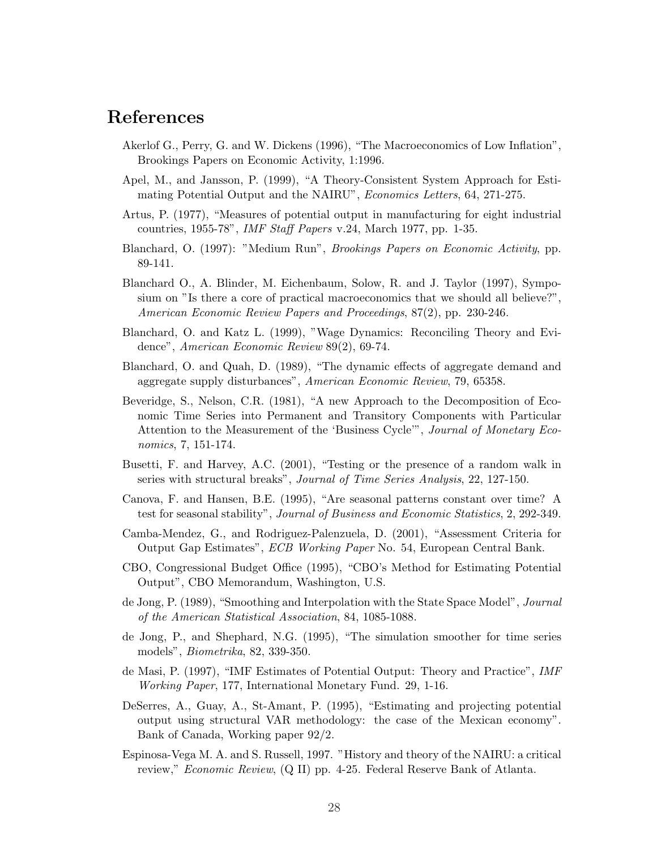## References

- Akerlof G., Perry, G. and W. Dickens (1996), "The Macroeconomics of Low Inflation", Brookings Papers on Economic Activity, 1:1996.
- Apel, M., and Jansson, P. (1999), "A Theory-Consistent System Approach for Estimating Potential Output and the NAIRU", Economics Letters, 64, 271-275.
- Artus, P. (1977), "Measures of potential output in manufacturing for eight industrial countries, 1955-78", IMF Staff Papers v.24, March 1977, pp. 1-35.
- Blanchard, O. (1997): "Medium Run", Brookings Papers on Economic Activity, pp. 89-141.
- Blanchard O., A. Blinder, M. Eichenbaum, Solow, R. and J. Taylor (1997), Symposium on "Is there a core of practical macroeconomics that we should all believe?", American Economic Review Papers and Proceedings, 87(2), pp. 230-246.
- Blanchard, O. and Katz L. (1999), "Wage Dynamics: Reconciling Theory and Evidence", American Economic Review 89(2), 69-74.
- Blanchard, O. and Quah, D. (1989), "The dynamic effects of aggregate demand and aggregate supply disturbances", American Economic Review, 79, 65358.
- Beveridge, S., Nelson, C.R. (1981), "A new Approach to the Decomposition of Economic Time Series into Permanent and Transitory Components with Particular Attention to the Measurement of the 'Business Cycle'", Journal of Monetary Economics, 7, 151-174.
- Busetti, F. and Harvey, A.C. (2001), "Testing or the presence of a random walk in series with structural breaks", Journal of Time Series Analysis, 22, 127-150.
- Canova, F. and Hansen, B.E. (1995), "Are seasonal patterns constant over time? A test for seasonal stability", Journal of Business and Economic Statistics, 2, 292-349.
- Camba-Mendez, G., and Rodriguez-Palenzuela, D. (2001), "Assessment Criteria for Output Gap Estimates", ECB Working Paper No. 54, European Central Bank.
- CBO, Congressional Budget Office (1995), "CBO's Method for Estimating Potential Output", CBO Memorandum, Washington, U.S.
- de Jong, P. (1989), "Smoothing and Interpolation with the State Space Model", Journal of the American Statistical Association, 84, 1085-1088.
- de Jong, P., and Shephard, N.G. (1995), "The simulation smoother for time series models", Biometrika, 82, 339-350.
- de Masi, P. (1997), "IMF Estimates of Potential Output: Theory and Practice", IMF Working Paper, 177, International Monetary Fund. 29, 1-16.
- DeSerres, A., Guay, A., St-Amant, P. (1995), "Estimating and projecting potential output using structural VAR methodology: the case of the Mexican economy". Bank of Canada, Working paper 92/2.
- Espinosa-Vega M. A. and S. Russell, 1997. "History and theory of the NAIRU: a critical review," *Economic Review*, (Q II) pp. 4-25. Federal Reserve Bank of Atlanta.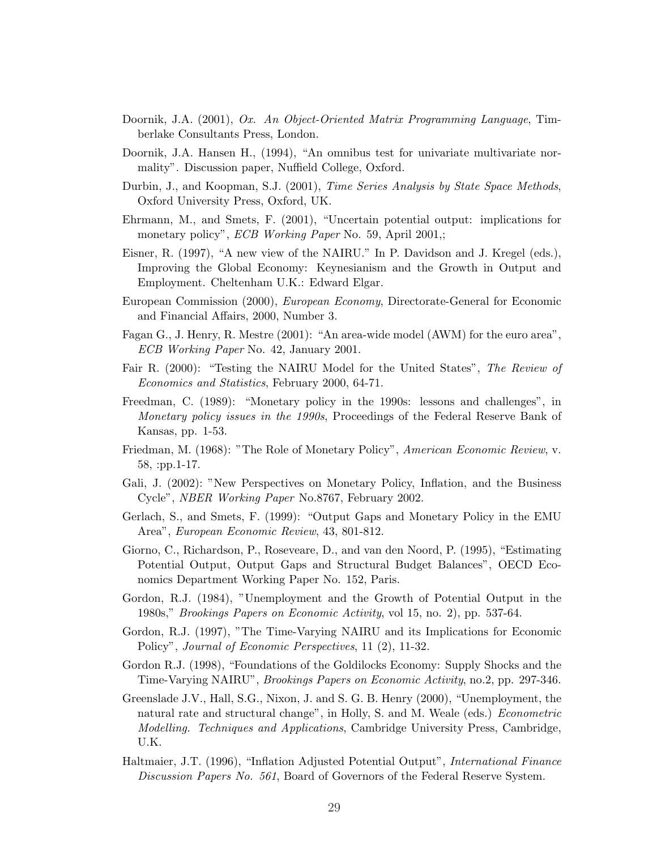- Doornik, J.A. (2001), Ox. An Object-Oriented Matrix Programming Language, Timberlake Consultants Press, London.
- Doornik, J.A. Hansen H., (1994), "An omnibus test for univariate multivariate normality". Discussion paper, Nuffield College, Oxford.
- Durbin, J., and Koopman, S.J. (2001), Time Series Analysis by State Space Methods, Oxford University Press, Oxford, UK.
- Ehrmann, M., and Smets, F. (2001), "Uncertain potential output: implications for monetary policy", *ECB Working Paper* No. 59, April 2001,;
- Eisner, R. (1997), "A new view of the NAIRU." In P. Davidson and J. Kregel (eds.), Improving the Global Economy: Keynesianism and the Growth in Output and Employment. Cheltenham U.K.: Edward Elgar.
- European Commission (2000), European Economy, Directorate-General for Economic and Financial Affairs, 2000, Number 3.
- Fagan G., J. Henry, R. Mestre (2001): "An area-wide model (AWM) for the euro area", ECB Working Paper No. 42, January 2001.
- Fair R. (2000): "Testing the NAIRU Model for the United States", The Review of Economics and Statistics, February 2000, 64-71.
- Freedman, C. (1989): "Monetary policy in the 1990s: lessons and challenges", in Monetary policy issues in the 1990s, Proceedings of the Federal Reserve Bank of Kansas, pp. 1-53.
- Friedman, M. (1968): "The Role of Monetary Policy", American Economic Review, v. 58, :pp.1-17.
- Gali, J. (2002): "New Perspectives on Monetary Policy, Inflation, and the Business Cycle", NBER Working Paper No.8767, February 2002.
- Gerlach, S., and Smets, F. (1999): "Output Gaps and Monetary Policy in the EMU Area", European Economic Review, 43, 801-812.
- Giorno, C., Richardson, P., Roseveare, D., and van den Noord, P. (1995), "Estimating Potential Output, Output Gaps and Structural Budget Balances", OECD Economics Department Working Paper No. 152, Paris.
- Gordon, R.J. (1984), "Unemployment and the Growth of Potential Output in the 1980s," Brookings Papers on Economic Activity, vol 15, no. 2), pp. 537-64.
- Gordon, R.J. (1997), "The Time-Varying NAIRU and its Implications for Economic Policy", Journal of Economic Perspectives, 11 (2), 11-32.
- Gordon R.J. (1998), "Foundations of the Goldilocks Economy: Supply Shocks and the Time-Varying NAIRU", Brookings Papers on Economic Activity, no.2, pp. 297-346.
- Greenslade J.V., Hall, S.G., Nixon, J. and S. G. B. Henry (2000), "Unemployment, the natural rate and structural change", in Holly, S. and M. Weale (eds.) Econometric Modelling. Techniques and Applications, Cambridge University Press, Cambridge, U.K.
- Haltmaier, J.T. (1996), "Inflation Adjusted Potential Output", International Finance Discussion Papers No. 561, Board of Governors of the Federal Reserve System.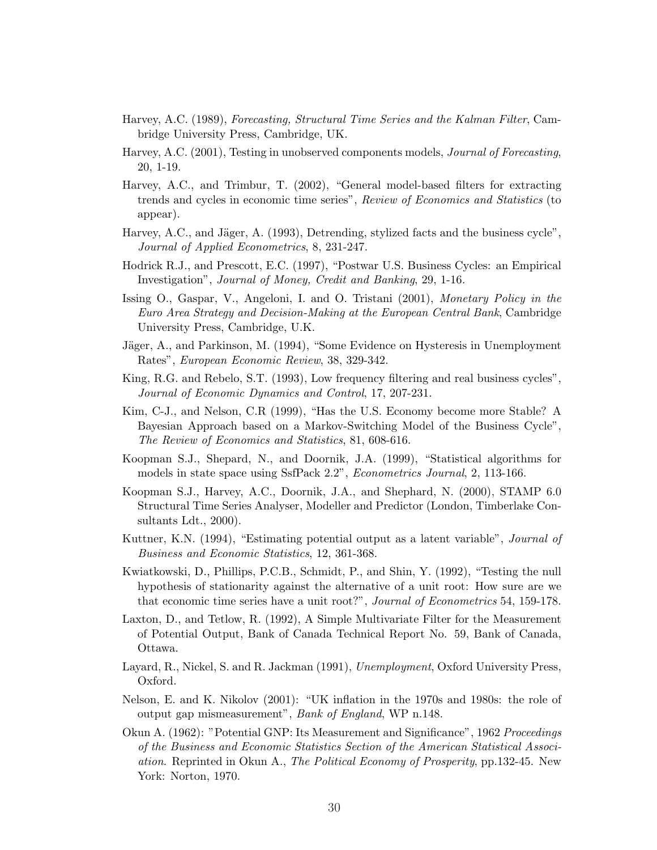- Harvey, A.C. (1989), Forecasting, Structural Time Series and the Kalman Filter, Cambridge University Press, Cambridge, UK.
- Harvey, A.C. (2001), Testing in unobserved components models, Journal of Forecasting, 20, 1-19.
- Harvey, A.C., and Trimbur, T. (2002), "General model-based filters for extracting trends and cycles in economic time series", Review of Economics and Statistics (to appear).
- Harvey, A.C., and Jäger, A.  $(1993)$ , Detrending, stylized facts and the business cycle", Journal of Applied Econometrics, 8, 231-247.
- Hodrick R.J., and Prescott, E.C. (1997), "Postwar U.S. Business Cycles: an Empirical Investigation", Journal of Money, Credit and Banking, 29, 1-16.
- Issing O., Gaspar, V., Angeloni, I. and O. Tristani (2001), Monetary Policy in the Euro Area Strategy and Decision-Making at the European Central Bank, Cambridge University Press, Cambridge, U.K.
- Jäger, A., and Parkinson, M. (1994), "Some Evidence on Hysteresis in Unemployment Rates", European Economic Review, 38, 329-342.
- King, R.G. and Rebelo, S.T. (1993), Low frequency filtering and real business cycles", Journal of Economic Dynamics and Control, 17, 207-231.
- Kim, C-J., and Nelson, C.R (1999), "Has the U.S. Economy become more Stable? A Bayesian Approach based on a Markov-Switching Model of the Business Cycle", The Review of Economics and Statistics, 81, 608-616.
- Koopman S.J., Shepard, N., and Doornik, J.A. (1999), "Statistical algorithms for models in state space using SsfPack 2.2", *Econometrics Journal*, 2, 113-166.
- Koopman S.J., Harvey, A.C., Doornik, J.A., and Shephard, N. (2000), STAMP 6.0 Structural Time Series Analyser, Modeller and Predictor (London, Timberlake Consultants Ldt., 2000).
- Kuttner, K.N. (1994), "Estimating potential output as a latent variable", *Journal of* Business and Economic Statistics, 12, 361-368.
- Kwiatkowski, D., Phillips, P.C.B., Schmidt, P., and Shin, Y. (1992), "Testing the null hypothesis of stationarity against the alternative of a unit root: How sure are we that economic time series have a unit root?", Journal of Econometrics 54, 159-178.
- Laxton, D., and Tetlow, R. (1992), A Simple Multivariate Filter for the Measurement of Potential Output, Bank of Canada Technical Report No. 59, Bank of Canada, Ottawa.
- Layard, R., Nickel, S. and R. Jackman (1991), Unemployment, Oxford University Press, Oxford.
- Nelson, E. and K. Nikolov (2001): "UK inflation in the 1970s and 1980s: the role of output gap mismeasurement", Bank of England, WP n.148.
- Okun A. (1962): "Potential GNP: Its Measurement and Significance", 1962 Proceedings of the Business and Economic Statistics Section of the American Statistical Association. Reprinted in Okun A., The Political Economy of Prosperity, pp.132-45. New York: Norton, 1970.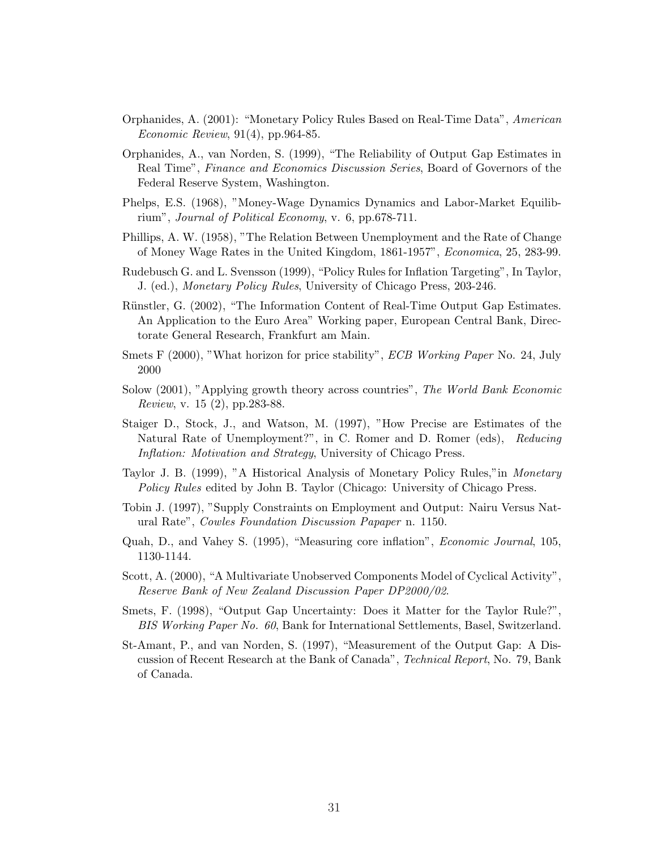- Orphanides, A. (2001): "Monetary Policy Rules Based on Real-Time Data", American Economic Review, 91(4), pp.964-85.
- Orphanides, A., van Norden, S. (1999), "The Reliability of Output Gap Estimates in Real Time", Finance and Economics Discussion Series, Board of Governors of the Federal Reserve System, Washington.
- Phelps, E.S. (1968), "Money-Wage Dynamics Dynamics and Labor-Market Equilibrium", Journal of Political Economy, v. 6, pp.678-711.
- Phillips, A. W. (1958), "The Relation Between Unemployment and the Rate of Change of Money Wage Rates in the United Kingdom, 1861-1957", Economica, 25, 283-99.
- Rudebusch G. and L. Svensson (1999), "Policy Rules for Inflation Targeting", In Taylor, J. (ed.), Monetary Policy Rules, University of Chicago Press, 203-246.
- Rünstler, G. (2002), "The Information Content of Real-Time Output Gap Estimates. An Application to the Euro Area" Working paper, European Central Bank, Directorate General Research, Frankfurt am Main.
- Smets F (2000), "What horizon for price stability", *ECB Working Paper* No. 24, July 2000
- Solow (2001), "Applying growth theory across countries", The World Bank Economic Review, v. 15 (2), pp.283-88.
- Staiger D., Stock, J., and Watson, M. (1997), "How Precise are Estimates of the Natural Rate of Unemployment?", in C. Romer and D. Romer (eds), Reducing Inflation: Motivation and Strategy, University of Chicago Press.
- Taylor J. B. (1999), "A Historical Analysis of Monetary Policy Rules,"in Monetary Policy Rules edited by John B. Taylor (Chicago: University of Chicago Press.
- Tobin J. (1997), "Supply Constraints on Employment and Output: Nairu Versus Natural Rate", Cowles Foundation Discussion Papaper n. 1150.
- Quah, D., and Vahey S. (1995), "Measuring core inflation", Economic Journal, 105, 1130-1144.
- Scott, A. (2000), "A Multivariate Unobserved Components Model of Cyclical Activity", Reserve Bank of New Zealand Discussion Paper DP2000/02.
- Smets, F. (1998), "Output Gap Uncertainty: Does it Matter for the Taylor Rule?", BIS Working Paper No. 60, Bank for International Settlements, Basel, Switzerland.
- St-Amant, P., and van Norden, S. (1997), "Measurement of the Output Gap: A Discussion of Recent Research at the Bank of Canada", Technical Report, No. 79, Bank of Canada.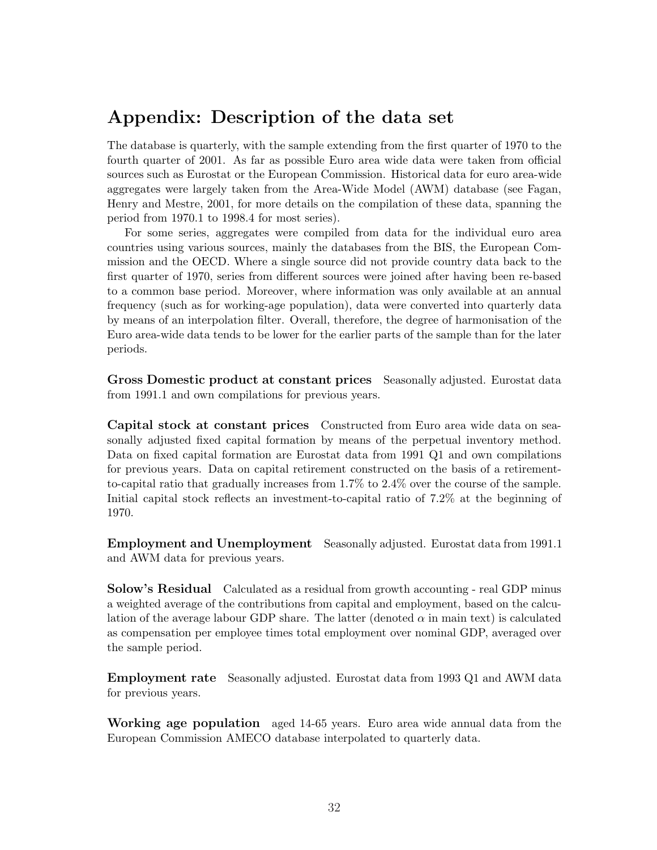### Appendix: Description of the data set

The database is quarterly, with the sample extending from the first quarter of 1970 to the fourth quarter of 2001. As far as possible Euro area wide data were taken from official sources such as Eurostat or the European Commission. Historical data for euro area-wide aggregates were largely taken from the Area-Wide Model (AWM) database (see Fagan, Henry and Mestre, 2001, for more details on the compilation of these data, spanning the period from 1970.1 to 1998.4 for most series).

For some series, aggregates were compiled from data for the individual euro area countries using various sources, mainly the databases from the BIS, the European Commission and the OECD. Where a single source did not provide country data back to the first quarter of 1970, series from different sources were joined after having been re-based to a common base period. Moreover, where information was only available at an annual frequency (such as for working-age population), data were converted into quarterly data by means of an interpolation filter. Overall, therefore, the degree of harmonisation of the Euro area-wide data tends to be lower for the earlier parts of the sample than for the later periods.

Gross Domestic product at constant prices Seasonally adjusted. Eurostat data from 1991.1 and own compilations for previous years.

Capital stock at constant prices Constructed from Euro area wide data on seasonally adjusted fixed capital formation by means of the perpetual inventory method. Data on fixed capital formation are Eurostat data from 1991 Q1 and own compilations for previous years. Data on capital retirement constructed on the basis of a retirementto-capital ratio that gradually increases from 1.7% to 2.4% over the course of the sample. Initial capital stock reflects an investment-to-capital ratio of 7.2% at the beginning of 1970.

Employment and Unemployment Seasonally adjusted. Eurostat data from 1991.1 and AWM data for previous years.

Solow's Residual Calculated as a residual from growth accounting - real GDP minus a weighted average of the contributions from capital and employment, based on the calculation of the average labour GDP share. The latter (denoted  $\alpha$  in main text) is calculated as compensation per employee times total employment over nominal GDP, averaged over the sample period.

Employment rate Seasonally adjusted. Eurostat data from 1993 Q1 and AWM data for previous years.

Working age population aged 14-65 years. Euro area wide annual data from the European Commission AMECO database interpolated to quarterly data.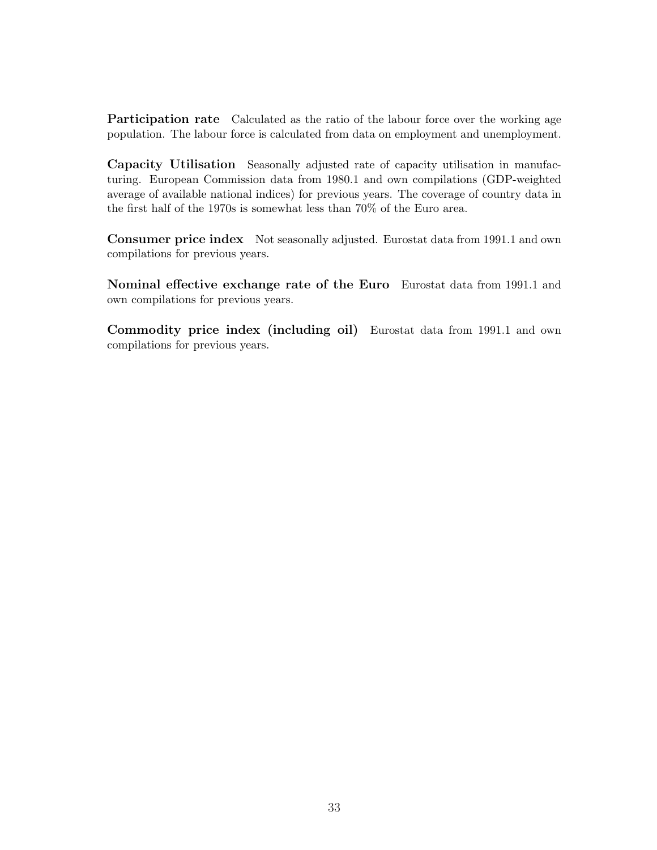Participation rate Calculated as the ratio of the labour force over the working age population. The labour force is calculated from data on employment and unemployment.

Capacity Utilisation Seasonally adjusted rate of capacity utilisation in manufacturing. European Commission data from 1980.1 and own compilations (GDP-weighted average of available national indices) for previous years. The coverage of country data in the first half of the 1970s is somewhat less than 70% of the Euro area.

Consumer price index Not seasonally adjusted. Eurostat data from 1991.1 and own compilations for previous years.

Nominal effective exchange rate of the Euro Eurostat data from 1991.1 and own compilations for previous years.

Commodity price index (including oil) Eurostat data from 1991.1 and own compilations for previous years.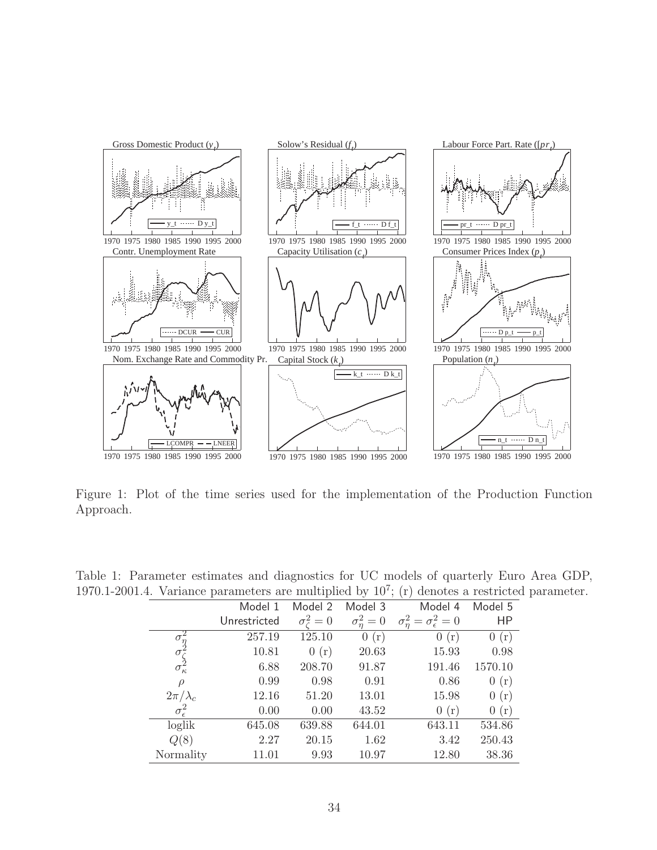<span id="page-35-0"></span>

Figure 1: Plot of the time series used for the implementation of the Production Function Approach.

|                       |              |                         |                | $\cdot$ +. The variance parameters are intensified by $\cdot$ to $\cdot$ , $\cdot$ (1) denotes a resulted |         |
|-----------------------|--------------|-------------------------|----------------|-----------------------------------------------------------------------------------------------------------|---------|
|                       | Model 1      | Model 2                 | Model 3        | Model 4                                                                                                   | Model 5 |
|                       | Unrestricted | $\sigma_{\epsilon}^2=0$ | $\sigma_n^2=0$ | $\sigma_n^2 = \sigma_{\epsilon}^2 = 0$                                                                    | HP      |
|                       | 257.19       | 125.10                  | 0(r)           | 0(r)                                                                                                      | 0(r)    |
| $\sigma$              | 10.81        | 0(r)                    | 20.63          | 15.93                                                                                                     | 0.98    |
| $\sigma_{\kappa}^2$   | 6.88         | 208.70                  | 91.87          | 191.46                                                                                                    | 1570.10 |
| $\rho$                | 0.99         | 0.98                    | 0.91           | 0.86                                                                                                      | 0(r)    |
| $2\pi/\lambda_c$      | 12.16        | 51.20                   | 13.01          | 15.98                                                                                                     | 0(r)    |
| $\sigma_{\epsilon}^2$ | 0.00         | 0.00                    | 43.52          | 0(r)                                                                                                      | 0(r)    |
| loglik                | 645.08       | 639.88                  | 644.01         | 643.11                                                                                                    | 534.86  |
| Q(8)                  | 2.27         | 20.15                   | 1.62           | 3.42                                                                                                      | 250.43  |
| Normality             | 11.01        | 9.93                    | 10.97          | 12.80                                                                                                     | 38.36   |
|                       |              |                         |                |                                                                                                           |         |

Table 1: Parameter estimates and diagnostics for UC models of quarterly Euro Area GDP, 1970.1-2001.4. Variance parameters are multiplied by  $10^7$ ; (r) denotes a restricted parameter.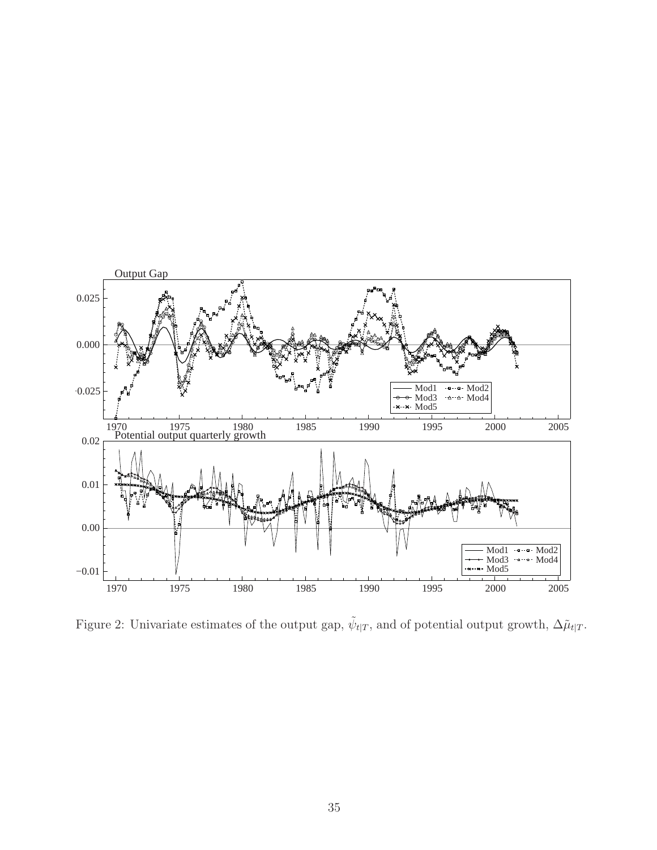<span id="page-36-0"></span>

Figure 2: Univariate estimates of the output gap,  $\tilde{\psi}_{t|T}$ , and of potential output growth,  $\Delta \tilde{\mu}_{t|T}$ .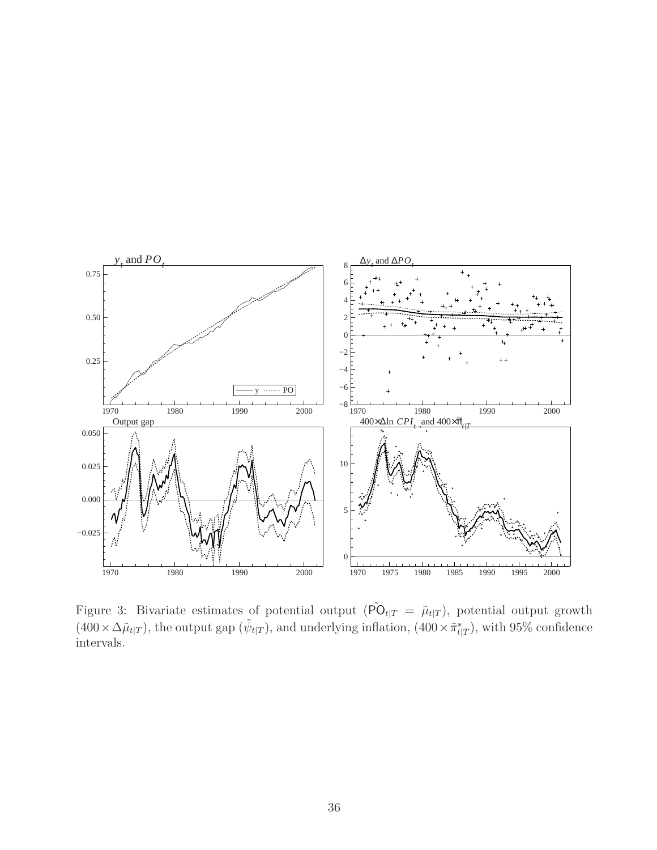<span id="page-37-0"></span>

Figure 3: Bivariate estimates of potential output ( $\tilde{PO}_{t|T} = \tilde{\mu}_{t|T}$ ), potential output growth  $(400 \times \Delta \tilde{\mu}_{t|T})$ , the output gap  $(\tilde{\psi}_{t|T})$ , and underlying inflation,  $(400 \times \tilde{\pi}_{t|T}^*)$ , with 95% confidence intervals.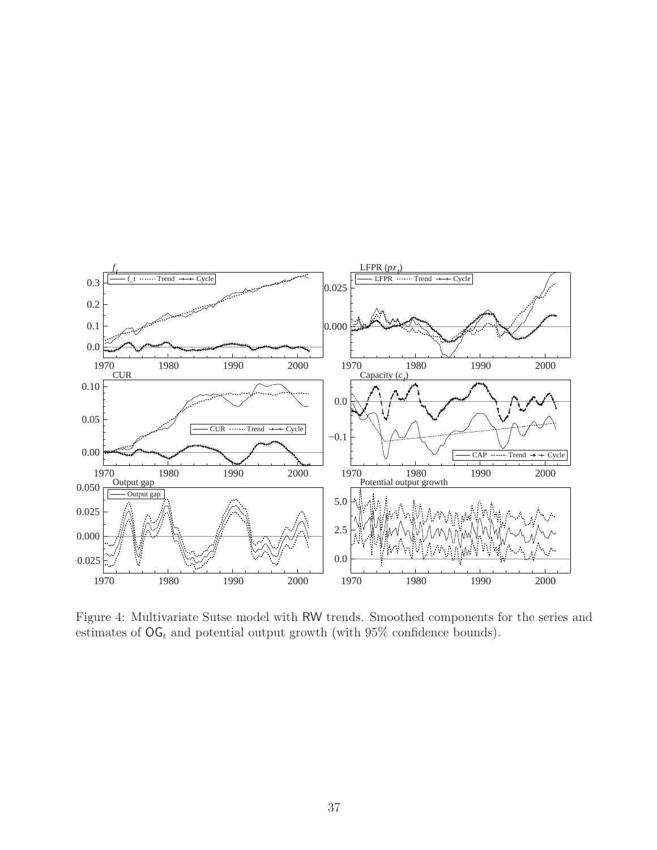<span id="page-38-0"></span>

Figure 4: Multivariate Sutse model with RW trends. Smoothed components for the series and estimates of  $\mathsf{OG}_t$  and potential output growth (with  $95\%$  confidence bounds).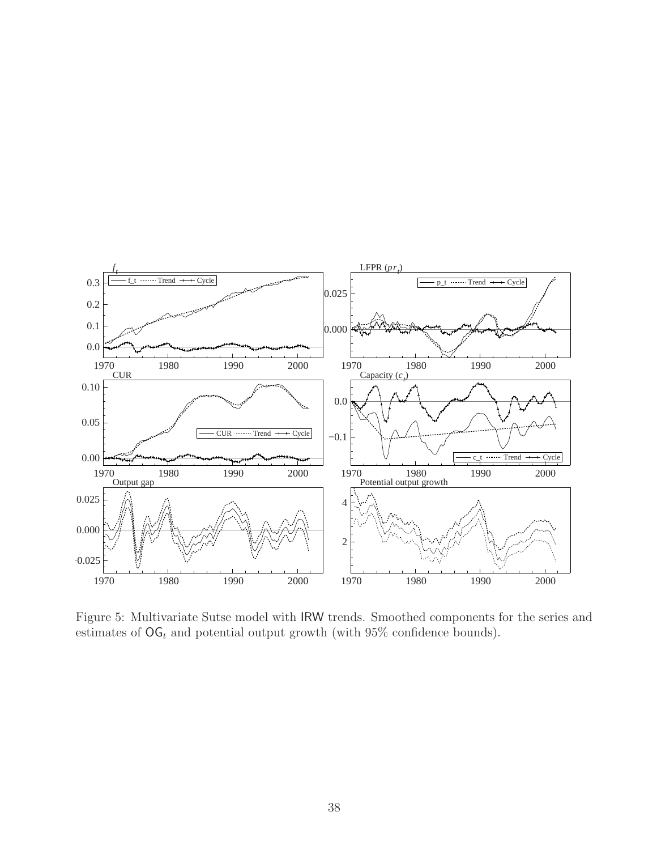<span id="page-39-0"></span>

Figure 5: Multivariate Sutse model with IRW trends. Smoothed components for the series and estimates of  $\mathsf{OG}_t$  and potential output growth (with  $95\%$  confidence bounds).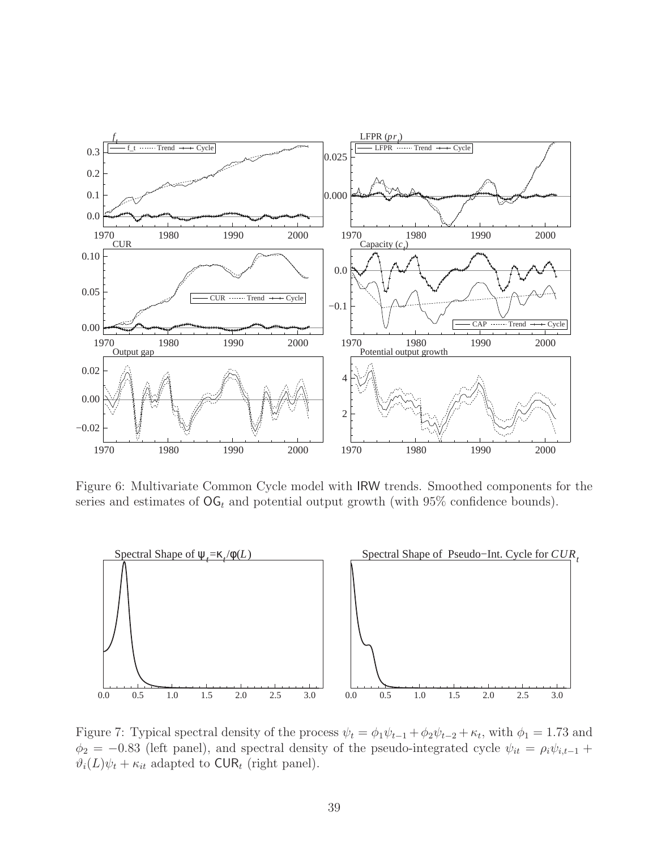<span id="page-40-0"></span>

Figure 6: Multivariate Common Cycle model with IRW trends. Smoothed components for the series and estimates of  $\mathsf{OG}_t$  and potential output growth (with 95% confidence bounds).



Figure 7: Typical spectral density of the process  $\psi_t = \phi_1 \psi_{t-1} + \phi_2 \psi_{t-2} + \kappa_t$ , with  $\phi_1 = 1.73$  and  $\phi_2 = -0.83$  (left panel), and spectral density of the pseudo-integrated cycle  $\psi_{it} = \rho_i \psi_{i,t-1} +$  $\vartheta_i(L)\psi_t + \kappa_{it}$  adapted to CUR<sub>t</sub> (right panel).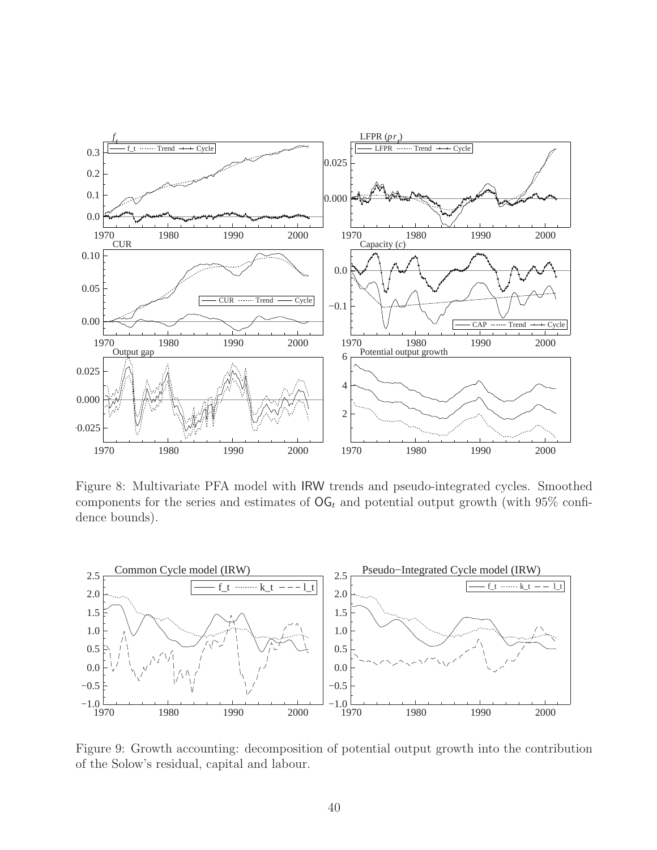<span id="page-41-0"></span>

Figure 8: Multivariate PFA model with IRW trends and pseudo-integrated cycles. Smoothed components for the series and estimates of  $\textsf{OG}_t$  and potential output growth (with 95% confidence bounds).



Figure 9: Growth accounting: decomposition of potential output growth into the contribution of the Solow's residual, capital and labour.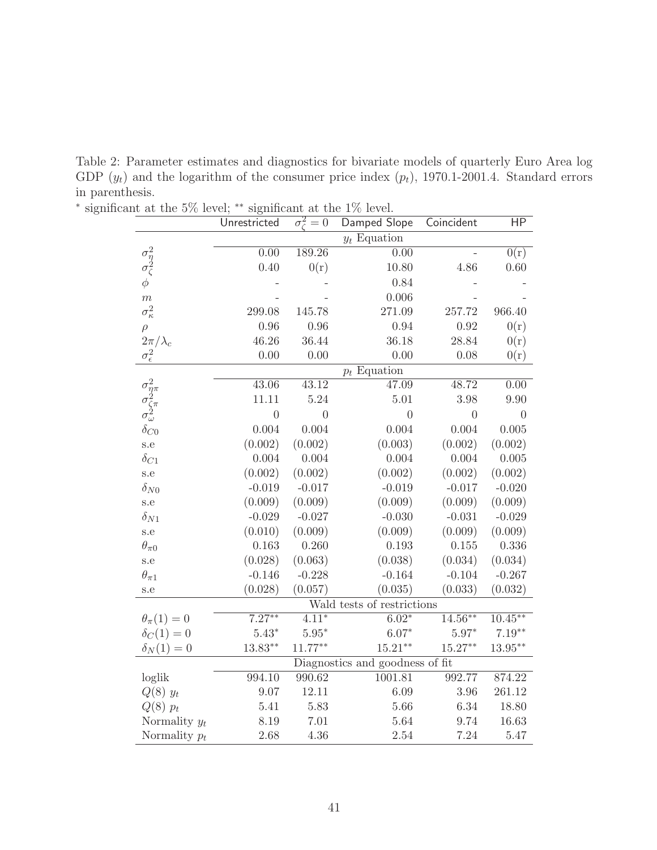<span id="page-42-0"></span>Table 2: Parameter estimates and diagnostics for bivariate models of quarterly Euro Area log GDP  $(y_t)$  and the logarithm of the consumer price index  $(p_t)$ , 1970.1-2001.4. Standard errors in parenthesis.

|                                                                                                                                                                                                                 | Unrestricted           | $\sigma_{\zeta}^2=0$ | Damped Slope                    | Coincident         | HP                      |
|-----------------------------------------------------------------------------------------------------------------------------------------------------------------------------------------------------------------|------------------------|----------------------|---------------------------------|--------------------|-------------------------|
|                                                                                                                                                                                                                 |                        |                      | $y_t$ Equation                  |                    |                         |
| organization as one 170 rever.<br>$\begin{array}{c} \sigma_\eta^2 \\ \sigma_\zeta^2 \\ \phi \end{array}$<br>189.26<br>0.00<br>0.00<br>0.40<br>0(r)<br>$\overline{m}$<br>$\sigma_{\kappa}^2$<br>299.08<br>145.78 |                        |                      | $\overline{0(r)}$               |                    |                         |
|                                                                                                                                                                                                                 |                        |                      | 10.80                           | 4.86               | 0.60                    |
|                                                                                                                                                                                                                 |                        | 0.84                 |                                 |                    |                         |
|                                                                                                                                                                                                                 |                        |                      | 0.006                           |                    |                         |
|                                                                                                                                                                                                                 |                        |                      | 271.09                          | 257.72             | 966.40                  |
| $\rho$                                                                                                                                                                                                          | 0.96                   | 0.96                 | 0.94                            | 0.92               | 0(r)                    |
| $2\pi/\lambda_c$                                                                                                                                                                                                | 46.26                  | 36.44                | 36.18                           | 28.84              | 0(r)                    |
| $\sigma_{\epsilon}^2$                                                                                                                                                                                           | 0.00                   | 0.00                 | 0.00                            | 0.08               | 0(r)                    |
|                                                                                                                                                                                                                 |                        |                      | $p_t$ Equation                  |                    |                         |
|                                                                                                                                                                                                                 | 43.06                  | $\overline{43.12}$   | 47.09                           | 48.72              | 0.00                    |
| $\begin{array}{l} \sigma_{\eta\pi}^2 \\ \sigma_{\zeta\pi}^2 \\ \sigma_\omega^2 \\ \delta_{C0} \end{array}$                                                                                                      | 11.11                  | 5.24                 | 5.01                            | 3.98               | 9.90                    |
|                                                                                                                                                                                                                 | $\overline{0}$         | $\overline{0}$       | $\overline{0}$                  | $\overline{0}$     | $\overline{0}$          |
|                                                                                                                                                                                                                 | 0.004                  | 0.004                | 0.004                           | 0.004              | 0.005                   |
| s.e                                                                                                                                                                                                             | (0.002)                | (0.002)              | (0.003)                         | (0.002)            | (0.002)                 |
| $\delta_{C1}$                                                                                                                                                                                                   | 0.004                  | 0.004                | 0.004                           | 0.004              | 0.005                   |
| s.e                                                                                                                                                                                                             | (0.002)                | (0.002)              | (0.002)                         | (0.002)            | (0.002)                 |
| $\delta_{N0}$                                                                                                                                                                                                   | $-0.019$               | $-0.017$             | $-0.019$                        | $-0.017$           | $-0.020$                |
| s.e                                                                                                                                                                                                             | (0.009)                | (0.009)              | (0.009)                         | (0.009)            | (0.009)                 |
| $\delta_{N1}$                                                                                                                                                                                                   | $-0.029$               | $-0.027$             | $-0.030$                        | $-0.031$           | $-0.029$                |
| s.e                                                                                                                                                                                                             | (0.010)                | (0.009)              | (0.009)                         | (0.009)            | (0.009)                 |
| $\theta_{\pi 0}$                                                                                                                                                                                                | 0.163                  | 0.260                | 0.193                           | 0.155              | 0.336                   |
| s.e                                                                                                                                                                                                             | (0.028)                | (0.063)              | (0.038)                         | (0.034)            | (0.034)                 |
| $\theta_{\pi 1}$                                                                                                                                                                                                | $-0.146$               | $-0.228$             | $-0.164$                        | $-0.104$           | $-0.267$                |
| s.e                                                                                                                                                                                                             | (0.028)                | (0.057)              | (0.035)                         | (0.033)            | (0.032)                 |
|                                                                                                                                                                                                                 |                        |                      | Wald tests of restrictions      |                    |                         |
| $\theta_{\pi}(1)=0$                                                                                                                                                                                             | $7.\overline{27^{**}}$ | $4.11*$              | $6.02*$                         | $14.56***$         | $10.\overline{45^{**}}$ |
| $\delta_C(1)=0$                                                                                                                                                                                                 | $5.43*$                | $5.95^{\ast}$        | $6.07*$                         | $5.97*$            | $7.19**$                |
| $\delta_N(1)=0$                                                                                                                                                                                                 | $13.83**$              | $11.77**$            | $15.21**$                       | $15.27^{\ast\ast}$ | $13.95***$              |
|                                                                                                                                                                                                                 |                        |                      | Diagnostics and goodness of fit |                    |                         |
| loglik                                                                                                                                                                                                          | 994.10                 | 990.62               | 1001.81                         | 992.77             | 874.22                  |
| $Q(8)$ $y_t$                                                                                                                                                                                                    | $9.07\,$               | 12.11                | 6.09                            | $3.96\,$           | 261.12                  |
| $Q(8)$ $p_t$                                                                                                                                                                                                    | 5.41                   | 5.83                 | 5.66                            | 6.34               | 18.80                   |
| Normality $y_t$                                                                                                                                                                                                 | 8.19                   | 7.01                 | 5.64                            | 9.74               | 16.63                   |
| Normality $p_t$                                                                                                                                                                                                 | 2.68                   | 4.36                 | 2.54                            | 7.24               | 5.47                    |

∗ significant at the 5% level; ∗∗ significant at the 1% level.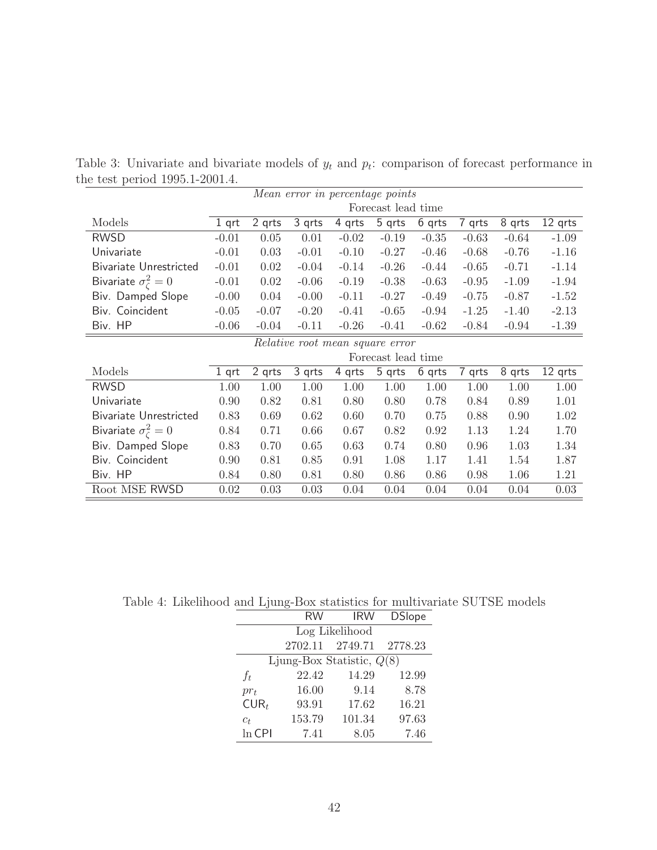|                                  |         |         |         | Mean error in percentage points |                    |         |         |         |         |
|----------------------------------|---------|---------|---------|---------------------------------|--------------------|---------|---------|---------|---------|
|                                  |         |         |         |                                 | Forecast lead time |         |         |         |         |
| Models                           | $1$ qrt | 2 qrts  | 3 qrts  | 4 qrts                          | 5 qrts             | 6 qrts  | 7 qrts  | 8 qrts  | 12 grts |
| <b>RWSD</b>                      | $-0.01$ | 0.05    | 0.01    | $-0.02$                         | $-0.19$            | $-0.35$ | $-0.63$ | $-0.64$ | $-1.09$ |
| Univariate                       | $-0.01$ | 0.03    | $-0.01$ | $-0.10$                         | $-0.27$            | $-0.46$ | $-0.68$ | $-0.76$ | $-1.16$ |
| <b>Bivariate Unrestricted</b>    | $-0.01$ | 0.02    | $-0.04$ | $-0.14$                         | $-0.26$            | $-0.44$ | $-0.65$ | $-0.71$ | $-1.14$ |
| Bivariate $\sigma_{\zeta}^2 = 0$ | $-0.01$ | 0.02    | $-0.06$ | $-0.19$                         | $-0.38$            | $-0.63$ | $-0.95$ | $-1.09$ | $-1.94$ |
| Biv. Damped Slope                | $-0.00$ | 0.04    | $-0.00$ | $-0.11$                         | $-0.27$            | $-0.49$ | $-0.75$ | $-0.87$ | $-1.52$ |
| Biv. Coincident                  | $-0.05$ | $-0.07$ | $-0.20$ | $-0.41$                         | $-0.65$            | $-0.94$ | $-1.25$ | $-1.40$ | $-2.13$ |
| Biv. HP                          | $-0.06$ | $-0.04$ | $-0.11$ | $-0.26$                         | $-0.41$            | $-0.62$ | $-0.84$ | $-0.94$ | $-1.39$ |
|                                  |         |         |         | Relative root mean square error |                    |         |         |         |         |
|                                  |         |         |         |                                 | Forecast lead time |         |         |         |         |
| Models                           | $1$ qrt | 2 qrts  | 3 qrts  | 4 qrts                          | 5 qrts             | 6 qrts  | 7 qrts  | 8 qrts  | 12 qrts |
| <b>RWSD</b>                      | 1.00    | 1.00    | 1.00    | 1.00                            | 1.00               | 1.00    | 1.00    | 1.00    | 1.00    |
| Univariate                       | 0.90    | 0.82    | 0.81    | 0.80                            | 0.80               | 0.78    | 0.84    | 0.89    | 1.01    |
| Bivariate Unrestricted           | 0.83    | 0.69    | 0.62    | 0.60                            | 0.70               | 0.75    | 0.88    | 0.90    | 1.02    |
| Bivariate $\sigma_{\zeta}^2 = 0$ | 0.84    | 0.71    | 0.66    | 0.67                            | 0.82               | 0.92    | 1.13    | 1.24    | 1.70    |
| Biv. Damped Slope                | 0.83    | 0.70    | 0.65    | 0.63                            | 0.74               | 0.80    | 0.96    | 1.03    | 1.34    |
| Biv. Coincident                  | 0.90    | 0.81    | 0.85    | 0.91                            | 1.08               | 1.17    | 1.41    | 1.54    | 1.87    |
| Biv. HP                          | 0.84    | 0.80    | 0.81    | 0.80                            | 0.86               | 0.86    | 0.98    | 1.06    | 1.21    |
| Root MSE RWSD                    | 0.02    | 0.03    | 0.03    | 0.04                            | 0.04               | 0.04    | 0.04    | 0.04    | 0.03    |

<span id="page-43-0"></span>Table 3: Univariate and bivariate models of  $y_t$  and  $p_t$ : comparison of forecast performance in the test period 1995.1-2001.4.

Table 4: Likelihood and Ljung-Box statistics for multivariate SUTSE models

|          | RW              | <b>IRW</b>                  | <b>DSlope</b> |
|----------|-----------------|-----------------------------|---------------|
|          |                 | Log Likelihood              |               |
|          | 2702.11 2749.71 |                             | 2778.23       |
|          |                 | Ljung-Box Statistic, $Q(8)$ |               |
| $f_t$    | 22.42           | 14.29                       | 12.99         |
| $pr_t$   | 16.00           | 9.14                        | 8.78          |
| $CUR_t$  | 93.91           | 17.62                       | 16.21         |
| $c_t$    | 153.79          | 101.34                      | 97.63         |
| $ln$ CPI | 7.41            | 8.05                        | 7.46          |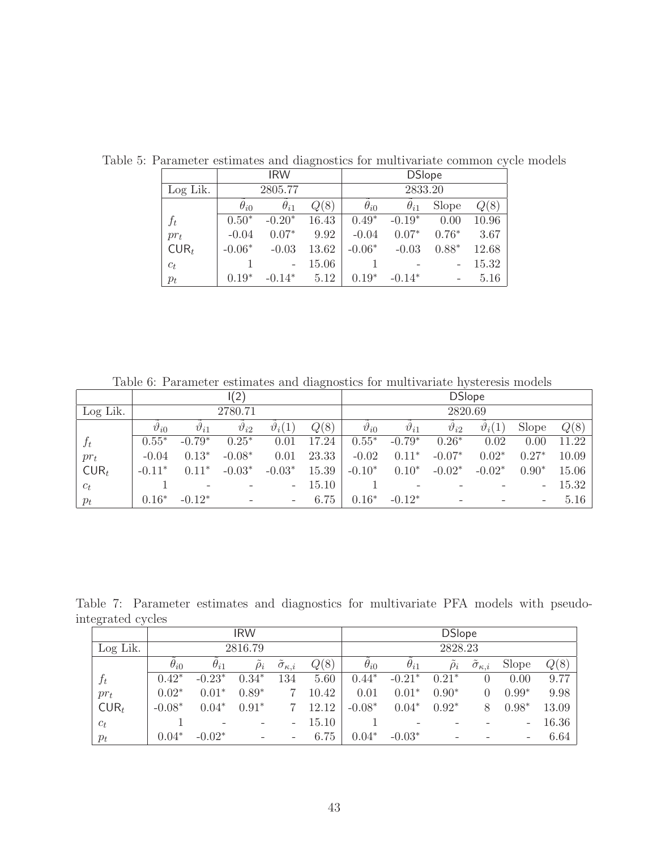|          |               | <b>IRW</b>    |       |               | <b>DSlope</b> |         |       |
|----------|---------------|---------------|-------|---------------|---------------|---------|-------|
| Log Lik. |               | 2805.77       |       |               | 2833.20       |         |       |
|          | $\theta_{i0}$ | $\theta_{i1}$ | Q(8)  | $\theta_{i0}$ | $\theta_{i1}$ | Slope   | Q(8)  |
| $f_t$    | $0.50*$       | $-0.20*$      | 16.43 | $0.49*$       | $-0.19*$      | 0.00    | 10.96 |
| $pr_t$   | $-0.04$       | $0.07*$       | 9.92  | $-0.04$       | $0.07*$       | $0.76*$ | 3.67  |
| $CUR_t$  | $-0.06*$      | $-0.03$       | 13.62 | $-0.06*$      | $-0.03$       | $0.88*$ | 12.68 |
| $c_t$    |               |               | 15.06 |               |               |         | 15.32 |
| $p_t$    | $0.19*$       | $-0.14*$      | 5.12  | $0.19*$       | $-0.14*$      |         | 5.16  |

<span id="page-44-0"></span>Table 5: Parameter estimates and diagnostics for multivariate common cycle models

Table 6: Parameter estimates and diagnostics for multivariate hysteresis models

|          |                  |                          | I(2)             |                          |       |                  |                          | <b>DSlope</b>    |                  |                          |       |
|----------|------------------|--------------------------|------------------|--------------------------|-------|------------------|--------------------------|------------------|------------------|--------------------------|-------|
| Log Lik. |                  |                          | 2780.71          |                          |       |                  |                          | 2820.69          |                  |                          |       |
|          | $\vartheta_{i0}$ | $v_{i1}$                 | $\vartheta_{i2}$ | $\vartheta_i(1)$         | Q(8)  | $\vartheta_{i0}$ | $\vartheta_{i1}$         | $\vartheta_{i2}$ | $\vartheta_i(1)$ | Slope                    | Q(8)  |
| $f_t$    | $0.55*$          | $-0.79*$                 | $0.25*$          | 0.01                     | 17.24 | $0.55*$          | $-0.79*$                 | $0.26*$          | 0.02             | 0.00                     | 11.22 |
| $pr_t$   | $-0.04$          | $0.13*$                  | $-0.08*$         | 0.01                     | 23.33 | $-0.02$          | $0.11*$                  | $-0.07*$         | $0.02*$          | $0.27*$                  | 10.09 |
| $CUR_t$  | $-0.11*$         | $0.11*$                  | $-0.03*$         | $-0.03*$                 | 15.39 | $-0.10*$         | $0.10*$                  | $-0.02*$         | $-0.02*$         | $0.90*$                  | 15.06 |
| $c_t$    |                  | $\overline{\phantom{0}}$ |                  | $\overline{\phantom{a}}$ | 15.10 |                  | $\overline{\phantom{a}}$ |                  |                  | $\overline{\phantom{a}}$ | 15.32 |
| $p_t$    | $0.16*$          | $-0.12*$                 |                  | $\overline{\phantom{m}}$ | 6.75  | $0.16*$          | $-0.12*$                 |                  |                  | $\overline{\phantom{a}}$ | 5.16  |

Table 7: Parameter estimates and diagnostics for multivariate PFA models with pseudointegrated cycles

|          |               |                 | <b>IRW</b>        |                             |       |               |                 | <b>DSlope</b> |                             |                   |       |
|----------|---------------|-----------------|-------------------|-----------------------------|-------|---------------|-----------------|---------------|-----------------------------|-------------------|-------|
| Log Lik. |               |                 | 2816.79           |                             |       |               |                 | 2828.23       |                             |                   |       |
|          | $\theta_{i0}$ | $\theta_{i1}$   | $\rho_i$          | $\tilde{\sigma}_{\kappa,i}$ | Q(8)  | $\theta_{i0}$ | $\theta_{i1}$   | $\rho_i$      | $\tilde{\sigma}_{\kappa,i}$ | Slope             | Q(8)  |
| $f_t$    | $0.42*$       | $-0.23*$        | $0.34*$           | 134                         | 5.60  | $0.44*$       | $-0.21*$        | $0.21*$       | 0                           | 0.00              | 9.77  |
| $pr_t$   | $0.02*$       | $0.01*$         | $0.89*$           |                             | 10.42 | 0.01          | $0.01*$         | $0.90*$       | 0                           | $0.99*$           | 9.98  |
| $CUR_t$  | $-0.08*$      | $0.04*$         | $0.91*$           |                             | 12.12 | $-0.08*$      | $0.04*$         | $0.92*$       | 8                           | $0.98*$           | 13.09 |
| $c_t$    |               | $\qquad \qquad$ | $\qquad \qquad -$ | $\overline{\phantom{0}}$    | 15.10 |               | $\qquad \qquad$ |               |                             | $\qquad \qquad -$ | 16.36 |
| $p_t$    | $0.04*$       | $-0.02*$        |                   |                             | 6.75  | $0.04*$       | $-0.03*$        |               |                             | $\qquad \qquad -$ | 6.64  |